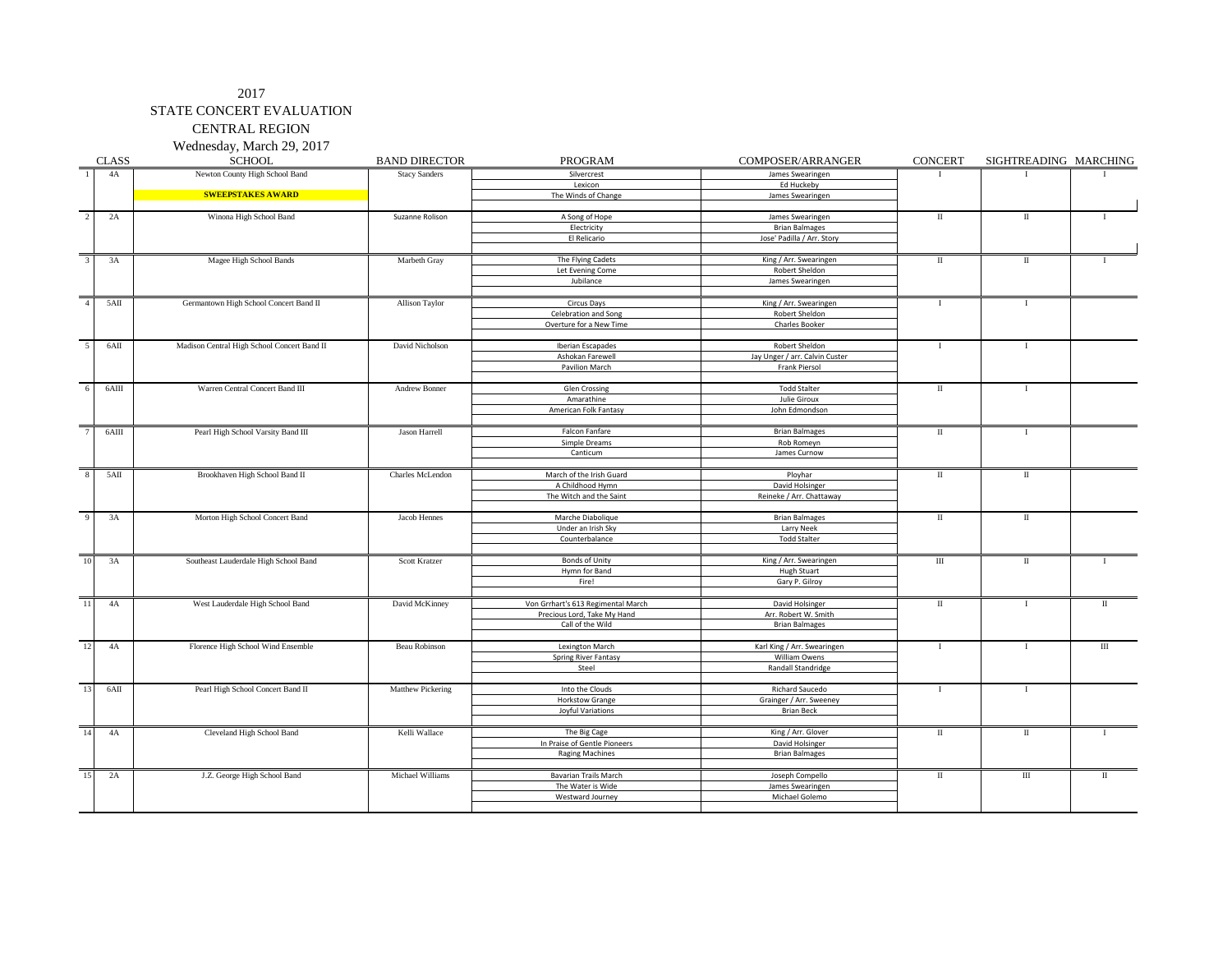CENTRAL REGION

Wednesday, March 29, 2017

|                         | <b>CLASS</b> | <b>SCHOOL</b>                               | <b>BAND DIRECTOR</b> | <b>PROGRAM</b>                     | COMPOSER/ARRANGER                   | <b>CONCERT</b>       | SIGHTREADING MARCHING |              |
|-------------------------|--------------|---------------------------------------------|----------------------|------------------------------------|-------------------------------------|----------------------|-----------------------|--------------|
| $\overline{1}$          | 4A           | Newton County High School Band              | <b>Stacy Sanders</b> | Silvercrest                        | James Swearingen                    | $\mathbf I$          | T                     |              |
|                         |              |                                             |                      | Lexicon                            | Ed Huckeby                          |                      |                       |              |
|                         |              | <b>SWEEPSTAKES AWARD</b>                    |                      | The Winds of Change                | James Swearingen                    |                      |                       |              |
|                         |              |                                             |                      |                                    |                                     |                      |                       |              |
| $\overline{2}$          | 2A           | Winona High School Band                     | Suzanne Rolison      | A Song of Hope                     | James Swearingen                    | П                    | $\scriptstyle\rm II$  | $\mathbf{I}$ |
|                         |              |                                             |                      | Electricity                        | <b>Brian Balmages</b>               |                      |                       |              |
|                         |              |                                             |                      | El Relicario                       | Jose' Padilla / Arr. Story          |                      |                       |              |
|                         |              |                                             |                      |                                    |                                     |                      |                       |              |
|                         | 3A           | Magee High School Bands                     | Marbeth Gray         | The Flying Cadets                  | King / Arr. Swearingen              | $\rm II$             | П                     |              |
|                         |              |                                             |                      | Let Evening Come                   | Robert Sheldon                      |                      |                       |              |
|                         |              |                                             |                      | Jubilance                          | James Swearingen                    |                      |                       |              |
|                         |              |                                             |                      |                                    |                                     |                      |                       |              |
| $\overline{4}$          | 5AII         | Germantown High School Concert Band II      | Allison Taylor       | Circus Days                        | King / Arr. Swearingen              | $\mathbf I$          | $\bf{I}$              |              |
|                         |              |                                             |                      | Celebration and Song               | Robert Sheldon                      |                      |                       |              |
|                         |              |                                             |                      | Overture for a New Time            | Charles Booker                      |                      |                       |              |
|                         |              |                                             |                      |                                    |                                     |                      |                       |              |
| $\overline{5}$          | 6AII         | Madison Central High School Concert Band II | David Nicholson      | Iberian Escapades                  | Robert Sheldon                      | $\mathbf{I}$         | $\mathbf{I}$          |              |
|                         |              |                                             |                      | Ashokan Farewell                   | Jay Unger / arr. Calvin Custer      |                      |                       |              |
|                         |              |                                             |                      | Pavilion March                     | Frank Piersol                       |                      |                       |              |
|                         |              |                                             |                      |                                    |                                     |                      |                       |              |
| 6                       | $6$ AIII     | Warren Central Concert Band III             | Andrew Bonner        | Glen Crossing                      | <b>Todd Stalter</b>                 | $\scriptstyle\rm II$ | $\mathbf{I}$          |              |
|                         |              |                                             |                      | Amarathine                         | Julie Giroux                        |                      |                       |              |
|                         |              |                                             |                      | American Folk Fantasy              | John Edmondson                      |                      |                       |              |
|                         |              |                                             |                      |                                    |                                     |                      |                       |              |
|                         | $6$ AIII     | Pearl High School Varsity Band III          | Jason Harrell        | Falcon Fanfare                     | <b>Brian Balmages</b>               | $\scriptstyle\rm II$ | <b>I</b>              |              |
|                         |              |                                             |                      | Simple Dreams                      | Rob Romeyn                          |                      |                       |              |
|                         |              |                                             |                      | Canticum                           | James Curnow                        |                      |                       |              |
|                         |              |                                             |                      |                                    |                                     |                      |                       |              |
| $\overline{\mathbf{8}}$ | 5AII         | Brookhaven High School Band II              | Charles McLendon     | March of the Irish Guard           | Ployhar                             | $\mathbf{I}$         | П                     |              |
|                         |              |                                             |                      | A Childhood Hymn                   | David Holsinger                     |                      |                       |              |
|                         |              |                                             |                      | The Witch and the Saint            | Reineke / Arr. Chattaway            |                      |                       |              |
|                         |              |                                             |                      |                                    |                                     |                      |                       |              |
| $\mathbf{q}$            | 3A           | Morton High School Concert Band             | Jacob Hennes         | Marche Diabolique                  | <b>Brian Balmages</b>               | $\mathbf{I}$         | П                     |              |
|                         |              |                                             |                      | Under an Irish Sky                 | Larry Neek                          |                      |                       |              |
|                         |              |                                             |                      | Counterbalance                     | <b>Todd Stalter</b>                 |                      |                       |              |
|                         |              |                                             |                      |                                    |                                     |                      |                       |              |
| 10                      | 3A           | Southeast Lauderdale High School Band       | Scott Kratzer        | <b>Bonds of Unity</b>              | King / Arr. Swearingen              | $\rm III$            | П                     | $\mathbf{I}$ |
|                         |              |                                             |                      | Hymn for Band                      | <b>Hugh Stuart</b>                  |                      |                       |              |
|                         |              |                                             |                      | Fire!                              | Gary P. Gilroy                      |                      |                       |              |
|                         |              |                                             |                      |                                    |                                     |                      |                       |              |
| 11                      | 4A           | West Lauderdale High School Band            | David McKinney       | Von Grrhart's 613 Regimental March | David Holsinger                     | $\scriptstyle\rm II$ | $\bf{I}$              | П            |
|                         |              |                                             |                      | Precious Lord, Take My Hand        | Arr. Robert W. Smith                |                      |                       |              |
|                         |              |                                             |                      | Call of the Wild                   | <b>Brian Balmages</b>               |                      |                       |              |
|                         |              |                                             |                      |                                    |                                     |                      |                       |              |
| 12                      | 4A           | Florence High School Wind Ensemble          | <b>Beau Robinson</b> | Lexington March                    | Karl King / Arr. Swearingen         | $\mathbf I$          | -1                    | $\rm III$    |
|                         |              |                                             |                      | <b>Spring River Fantasy</b>        | William Owens                       |                      |                       |              |
|                         |              |                                             |                      | Steel                              | Randall Standridge                  |                      |                       |              |
|                         |              |                                             |                      |                                    |                                     |                      |                       |              |
| 13                      | 6AII         | Pearl High School Concert Band II           | Matthew Pickering    | Into the Clouds                    | Richard Saucedo                     | $\bf{I}$             | $\bf{I}$              |              |
|                         |              |                                             |                      | <b>Horkstow Grange</b>             | Grainger / Arr. Sweeney             |                      |                       |              |
|                         |              |                                             |                      | Joyful Variations                  | <b>Brian Beck</b>                   |                      |                       |              |
| 14                      |              |                                             |                      |                                    |                                     |                      |                       |              |
|                         | 4A           | Cleveland High School Band                  | Kelli Wallace        | The Big Cage                       | King / Arr. Glover                  | П                    | П                     | $\mathbf{I}$ |
|                         |              |                                             |                      | In Praise of Gentle Pioneers       | David Holsinger                     |                      |                       |              |
|                         |              |                                             |                      | <b>Raging Machines</b>             | <b>Brian Balmages</b>               |                      |                       |              |
| 15                      | 2A           | J.Z. George High School Band                | Michael Williams     | <b>Bavarian Trails March</b>       |                                     | $\mathbf{I}$         | $\rm III$             | $\mathbf{I}$ |
|                         |              |                                             |                      | The Water is Wide                  | Joseph Compello<br>James Swearingen |                      |                       |              |
|                         |              |                                             |                      | Westward Journey                   | Michael Golemo                      |                      |                       |              |
|                         |              |                                             |                      |                                    |                                     |                      |                       |              |
|                         |              |                                             |                      |                                    |                                     |                      |                       |              |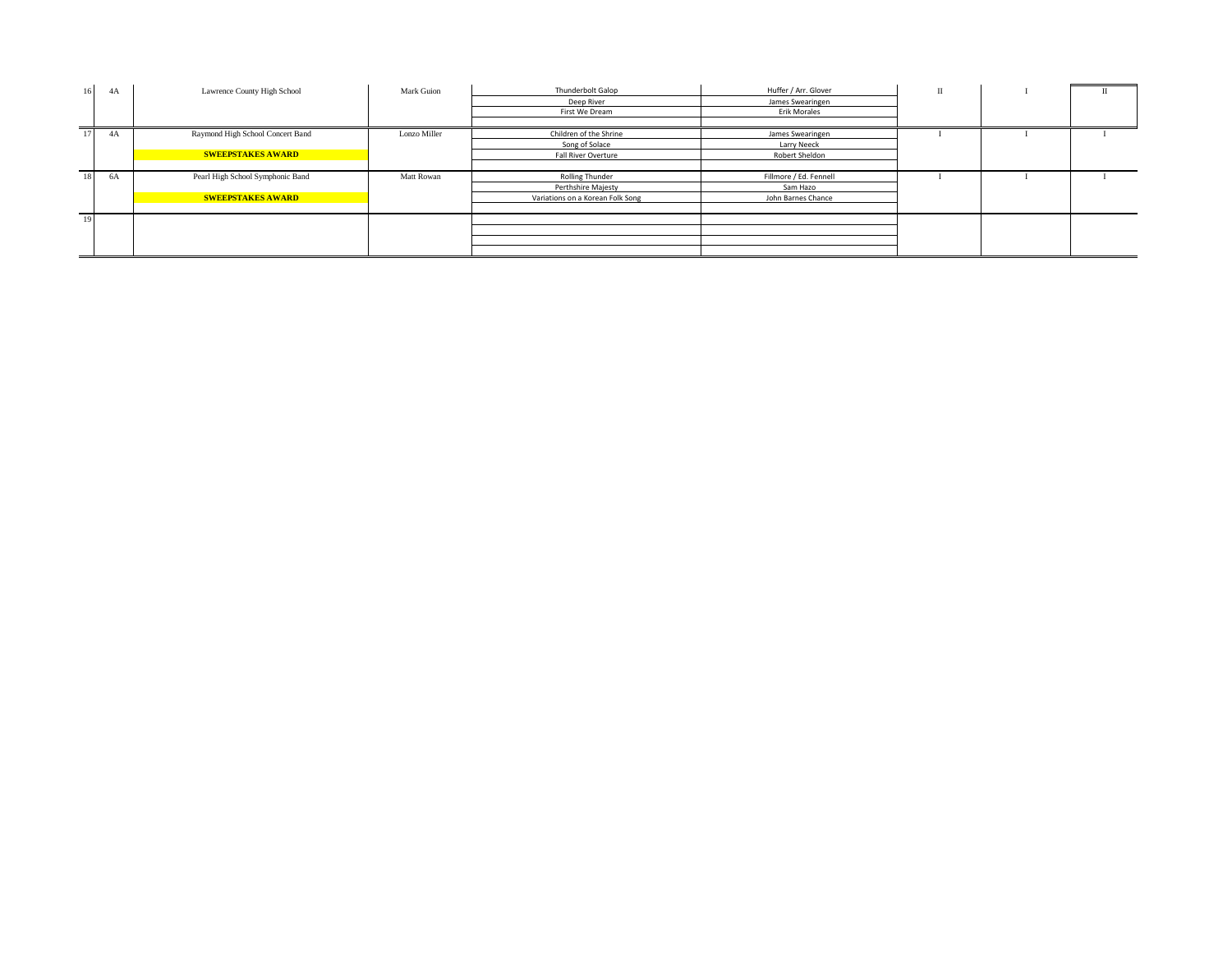| 16 | 4A   | Lawrence County High School      | Mark Guion   | Thunderbolt Galop                | Huffer / Arr. Glover   | $\mathbf{u}$ | n |  |
|----|------|----------------------------------|--------------|----------------------------------|------------------------|--------------|---|--|
|    |      |                                  |              | Deep River                       | James Swearingen       |              |   |  |
|    |      |                                  |              | First We Dream                   | Erik Morales           |              |   |  |
|    |      |                                  |              |                                  |                        |              |   |  |
| 17 | 4A   | Raymond High School Concert Band | Lonzo Miller | Children of the Shrine           | James Swearingen       |              |   |  |
|    |      |                                  |              | Song of Solace                   | Larry Neeck            |              |   |  |
|    |      | <b>SWEEPSTAKES AWARD</b>         |              | Fall River Overture              | Robert Sheldon         |              |   |  |
|    |      |                                  |              |                                  |                        |              |   |  |
| 18 | - 6A | Pearl High School Symphonic Band | Matt Rowan   | <b>Rolling Thunder</b>           | Fillmore / Ed. Fennell |              |   |  |
|    |      |                                  |              | Perthshire Majesty               | Sam Hazo               |              |   |  |
|    |      | <b>SWEEPSTAKES AWARD</b>         |              | Variations on a Korean Folk Song | John Barnes Chance     |              |   |  |
|    |      |                                  |              |                                  |                        |              |   |  |
| 19 |      |                                  |              |                                  |                        |              |   |  |
|    |      |                                  |              |                                  |                        |              |   |  |
|    |      |                                  |              |                                  |                        |              |   |  |
|    |      |                                  |              |                                  |                        |              |   |  |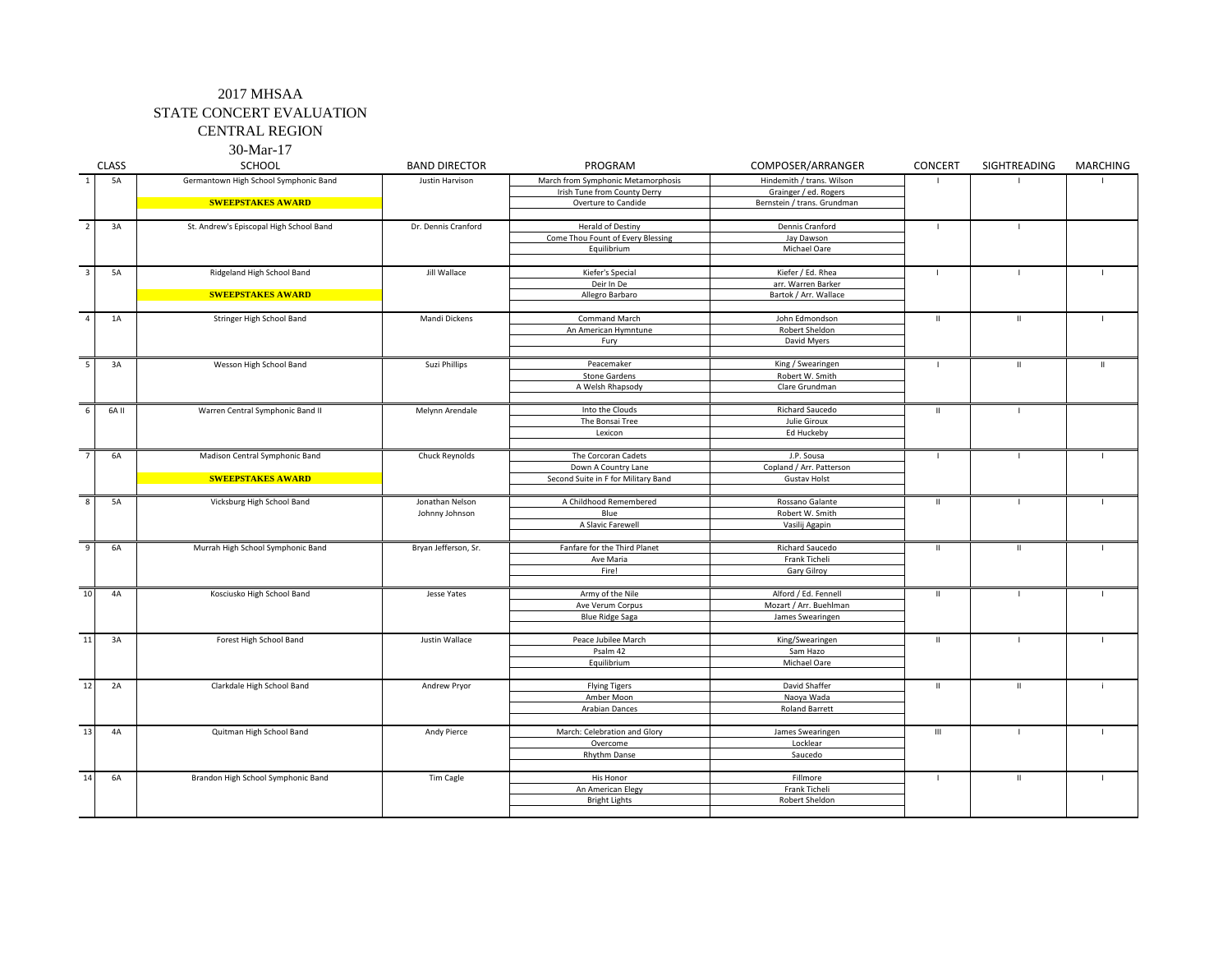CENTRAL REGION 30-Mar-17

|                          | <b>CLASS</b> | $50$ with $11$<br><b>SCHOOL</b>         | <b>BAND DIRECTOR</b> | PROGRAM                             | COMPOSER/ARRANGER           | CONCERT                      | SIGHTREADING | <b>MARCHING</b> |
|--------------------------|--------------|-----------------------------------------|----------------------|-------------------------------------|-----------------------------|------------------------------|--------------|-----------------|
| 1                        | 5A           | Germantown High School Symphonic Band   | Justin Harvison      | March from Symphonic Metamorphosis  | Hindemith / trans. Wilson   |                              |              |                 |
|                          |              |                                         |                      | Irish Tune from County Derry        | Grainger / ed. Rogers       |                              |              |                 |
|                          |              | <b>SWEEPSTAKES AWARD</b>                |                      | Overture to Candide                 | Bernstein / trans. Grundman |                              |              |                 |
| $\overline{2}$           | 3A           | St. Andrew's Episcopal High School Band | Dr. Dennis Cranford  | Herald of Destiny                   | Dennis Cranford             | $\mathbf{I}$                 | $\mathbf{I}$ |                 |
|                          |              |                                         |                      | Come Thou Fount of Every Blessing   | Jay Dawson                  |                              |              |                 |
|                          |              |                                         |                      | Equilibrium                         | Michael Oare                |                              |              |                 |
| $\overline{3}$           | <b>5A</b>    | Ridgeland High School Band              | <b>Jill Wallace</b>  | Kiefer's Special                    | Kiefer / Ed. Rhea           | J.                           | $\mathbf{I}$ |                 |
|                          |              |                                         |                      | Deir In De                          | arr. Warren Barker          |                              |              |                 |
|                          |              | <b>SWEEPSTAKES AWARD</b>                |                      | Allegro Barbaro                     | Bartok / Arr. Wallace       |                              |              |                 |
|                          |              |                                         |                      |                                     |                             |                              |              |                 |
| $\overline{4}$           | 1A           | Stringer High School Band               | Mandi Dickens        | Command March                       | John Edmondson              | $\mathbb H$                  | $\mathbf H$  | $\mathbf{I}$    |
|                          |              |                                         |                      | An American Hymntune                | Robert Sheldon              |                              |              |                 |
|                          |              |                                         |                      | Fury                                | David Myers                 |                              |              |                 |
| $\overline{\phantom{a}}$ | 3A           | Wesson High School Band                 | Suzi Phillips        | Peacemaker                          | King / Swearingen           | $\blacksquare$               | $\mathbf{H}$ | $\mathbf{H}$    |
|                          |              |                                         |                      | <b>Stone Gardens</b>                | Robert W. Smith             |                              |              |                 |
|                          |              |                                         |                      | A Welsh Rhapsody                    | Clare Grundman              |                              |              |                 |
| 6                        | 6A II        | Warren Central Symphonic Band II        | Melynn Arendale      | Into the Clouds                     | Richard Saucedo             | $\,$ H                       | $\mathbf{I}$ |                 |
|                          |              |                                         |                      | The Bonsai Tree                     | Julie Giroux                |                              |              |                 |
|                          |              |                                         |                      | Lexicon                             | Ed Huckeby                  |                              |              |                 |
|                          |              |                                         |                      |                                     |                             |                              |              |                 |
| $\overline{7}$           | <b>6A</b>    | Madison Central Symphonic Band          | Chuck Reynolds       | The Corcoran Cadets                 | J.P. Sousa                  | $\blacksquare$               | $\mathbf{I}$ |                 |
|                          |              |                                         |                      | Down A Country Lane                 | Copland / Arr. Patterson    |                              |              |                 |
|                          |              | <b>SWEEPSTAKES AWARD</b>                |                      | Second Suite in F for Military Band | <b>Gustav Holst</b>         |                              |              |                 |
|                          |              |                                         |                      |                                     |                             |                              |              |                 |
| 8                        | 5A           | Vicksburg High School Band              | Jonathan Nelson      | A Childhood Remembered              | Rossano Galante             | $\mathbf{I}$<br>$\mathbf{I}$ |              |                 |
|                          |              |                                         | Johnny Johnson       | Blue                                | Robert W. Smith             |                              |              |                 |
|                          |              |                                         |                      | A Slavic Farewell                   | Vasilij Agapin              |                              |              |                 |
| 9                        | 6A           | Murrah High School Symphonic Band       | Bryan Jefferson, Sr. | Fanfare for the Third Planet        | Richard Saucedo             | $\,$ H                       | $\rm H$      | -1              |
|                          |              |                                         |                      | Ave Maria                           | Frank Ticheli               |                              |              |                 |
|                          |              |                                         |                      | Fire!                               | Gary Gilroy                 |                              |              |                 |
| 10                       | 4A           | Kosciusko High School Band              | Jesse Yates          | Army of the Nile                    | Alford / Ed. Fennell        | $\,$ H                       | $\mathbf{I}$ |                 |
|                          |              |                                         |                      | Ave Verum Corpus                    | Mozart / Arr. Buehlman      |                              |              |                 |
|                          |              |                                         |                      | <b>Blue Ridge Saga</b>              | James Swearingen            |                              |              |                 |
|                          |              |                                         |                      |                                     |                             |                              |              |                 |
| 11                       | 3A           | Forest High School Band                 | Justin Wallace       | Peace Jubilee March                 | King/Swearingen             | $\mathbb H$                  | $\mathbf{L}$ | $\mathbf{I}$    |
|                          |              |                                         |                      | Psalm 42                            | Sam Hazo                    |                              |              |                 |
|                          |              |                                         |                      | Equilibrium                         | Michael Oare                |                              |              |                 |
| $\overline{12}$          | 2A           | Clarkdale High School Band              | Andrew Pryor         | <b>Flying Tigers</b>                | David Shaffer               | $\,$ H                       | $\,$ H       |                 |
|                          |              |                                         |                      | Amber Moon                          | Naoya Wada                  |                              |              |                 |
|                          |              |                                         |                      | <b>Arabian Dances</b>               | <b>Roland Barrett</b>       |                              |              |                 |
| 13                       | 4A           | Quitman High School Band                | Andy Pierce          | March: Celebration and Glory        | James Swearingen            | $\mathsf{III}$               | $\mathbf{I}$ | $\mathbf{I}$    |
|                          |              |                                         |                      | Overcome                            | Locklear                    |                              |              |                 |
|                          |              |                                         |                      | Rhythm Danse                        | Saucedo                     |                              |              |                 |
|                          |              |                                         |                      |                                     |                             |                              |              |                 |
| 14                       | 6A           | Brandon High School Symphonic Band      | Tim Cagle            | His Honor                           | Fillmore                    | $\mathbf{I}$                 | $\,$ II      | $\mathbf{I}$    |
|                          |              |                                         |                      | An American Elegy                   | Frank Ticheli               |                              |              |                 |
|                          |              |                                         |                      | <b>Bright Lights</b>                | Robert Sheldon              |                              |              |                 |
|                          |              |                                         |                      |                                     |                             |                              |              |                 |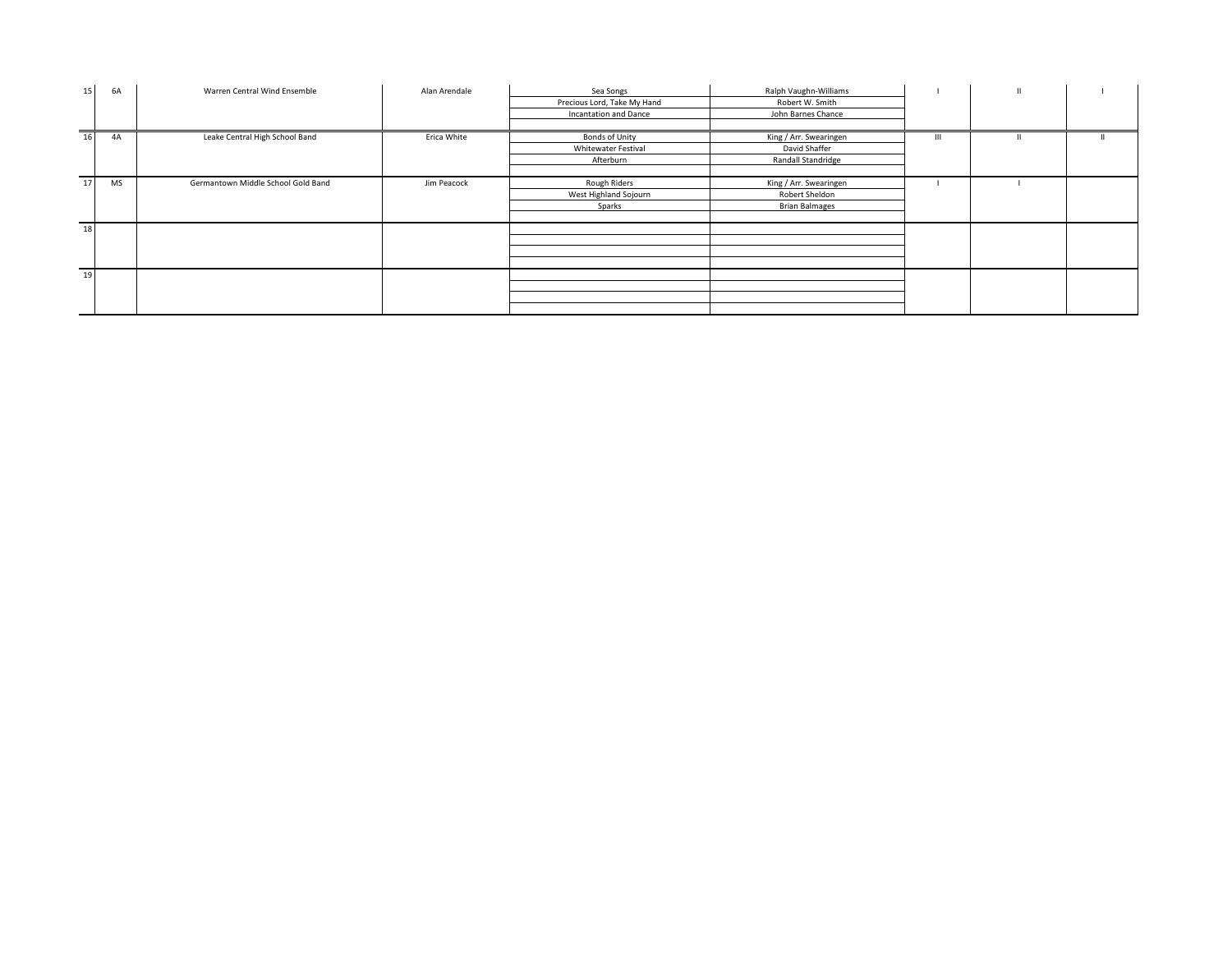| 15 | 6A        | Warren Central Wind Ensemble       | Alan Arendale | Sea Songs                   | Ralph Vaughn-Williams  |              |  |
|----|-----------|------------------------------------|---------------|-----------------------------|------------------------|--------------|--|
|    |           |                                    |               | Precious Lord, Take My Hand | Robert W. Smith        |              |  |
|    |           |                                    |               | Incantation and Dance       | John Barnes Chance     |              |  |
|    |           |                                    |               |                             |                        |              |  |
| 16 | 4A        | Leake Central High School Band     | Erica White   | Bonds of Unity              | King / Arr. Swearingen | $\mathbf{m}$ |  |
|    |           |                                    |               | Whitewater Festival         | David Shaffer          |              |  |
|    |           |                                    |               | Afterburn                   | Randall Standridge     |              |  |
|    |           |                                    |               |                             |                        |              |  |
| 17 | <b>MS</b> | Germantown Middle School Gold Band | Jim Peacock   | Rough Riders                | King / Arr. Swearingen |              |  |
|    |           |                                    |               | West Highland Sojourn       | Robert Sheldon         |              |  |
|    |           |                                    |               | Sparks                      | <b>Brian Balmages</b>  |              |  |
|    |           |                                    |               |                             |                        |              |  |
| 18 |           |                                    |               |                             |                        |              |  |
|    |           |                                    |               |                             |                        |              |  |
|    |           |                                    |               |                             |                        |              |  |
|    |           |                                    |               |                             |                        |              |  |
| 19 |           |                                    |               |                             |                        |              |  |
|    |           |                                    |               |                             |                        |              |  |
|    |           |                                    |               |                             |                        |              |  |
|    |           |                                    |               |                             |                        |              |  |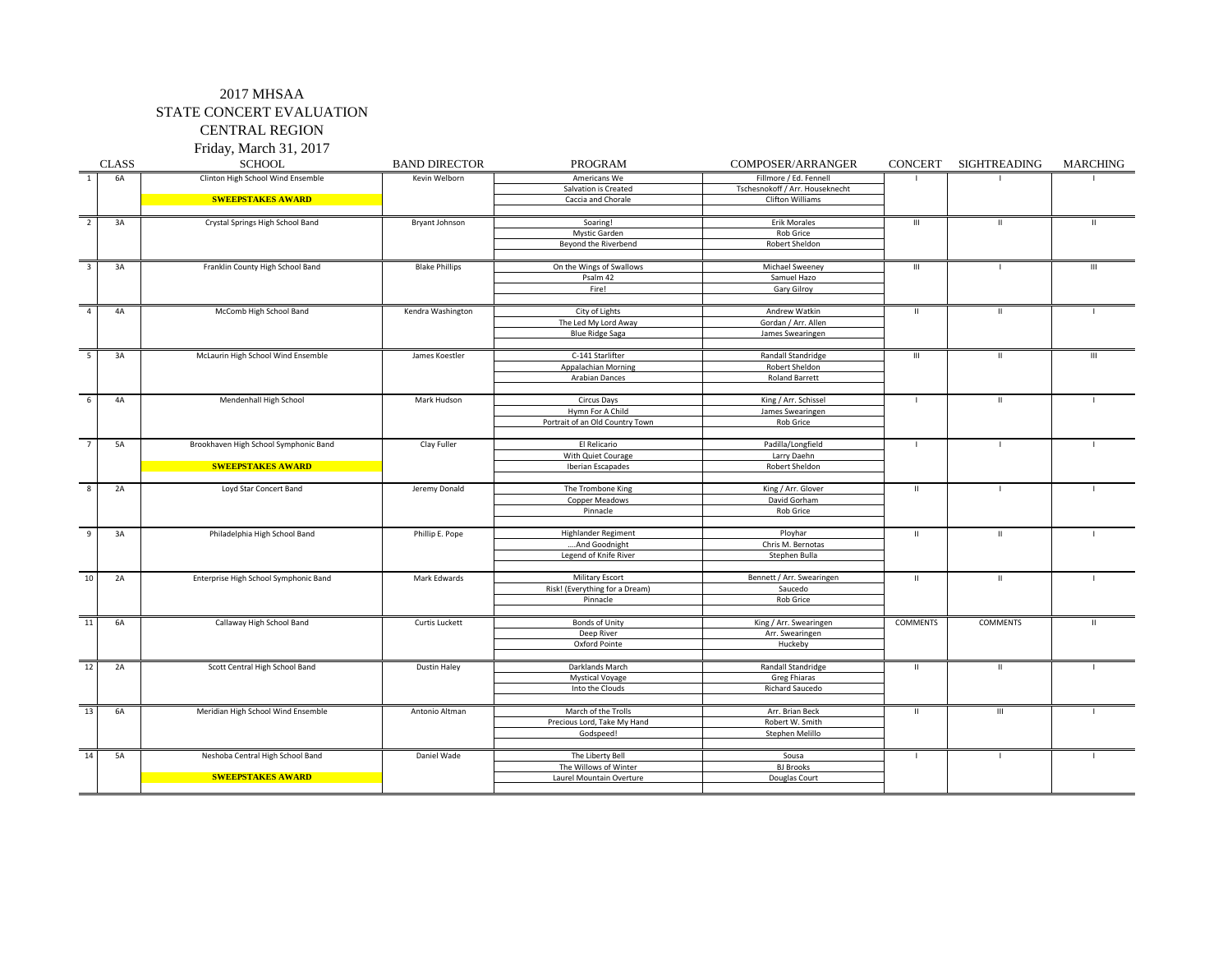CENTRAL REGION Friday, March 31, 2017

|                | <b>CLASS</b> | <b>SCHOOL</b>                         | <b>BAND DIRECTOR</b>  | PROGRAM                            | COMPOSER/ARRANGER               | CONCERT            | SIGHTREADING                       | <b>MARCHING</b> |     |
|----------------|--------------|---------------------------------------|-----------------------|------------------------------------|---------------------------------|--------------------|------------------------------------|-----------------|-----|
| $\mathbf{1}$   | <b>6A</b>    | Clinton High School Wind Ensemble     | Kevin Welborn         | Americans We                       | Fillmore / Ed. Fennell          |                    |                                    |                 |     |
|                |              |                                       |                       | Salvation is Created               | Tschesnokoff / Arr. Houseknecht |                    |                                    |                 |     |
|                |              | <b>SWEEPSTAKES AWARD</b>              |                       | Caccia and Chorale                 | Clifton Williams                |                    |                                    |                 |     |
|                |              |                                       |                       |                                    |                                 |                    |                                    |                 |     |
| $\overline{2}$ | 3A           | Crystal Springs High School Band      | Bryant Johnson        | Soaring!                           | <b>Erik Morales</b>             | $\mathop{\rm III}$ | $\mathbf{H}$                       | $\mathbf{H}$    |     |
|                |              |                                       |                       | Mystic Garden                      | Rob Grice                       |                    |                                    |                 |     |
|                |              |                                       |                       | Beyond the Riverbend               | Robert Sheldon                  |                    |                                    |                 |     |
| 3              | 3A           | Franklin County High School Band      | <b>Blake Phillips</b> | On the Wings of Swallows           | Michael Sweeney                 | $\mathbf{III}$     |                                    | Ш               |     |
|                |              |                                       |                       | Psalm 42                           | Samuel Hazo                     |                    |                                    |                 |     |
|                |              |                                       |                       | Fire!                              | Gary Gilroy                     |                    |                                    |                 |     |
| $\overline{4}$ | 4A           | McComb High School Band               | Kendra Washington     | City of Lights                     | Andrew Watkin                   | $\mathbf H$        | $\mathbf H$                        | $\blacksquare$  |     |
|                |              |                                       |                       | The Led My Lord Away               | Gordan / Arr. Allen             |                    |                                    |                 |     |
|                |              |                                       |                       | <b>Blue Ridge Saga</b>             | James Swearingen                |                    |                                    |                 |     |
|                |              |                                       |                       |                                    |                                 |                    |                                    |                 |     |
| 5              | 3A           | McLaurin High School Wind Ensemble    | James Koestler        | C-141 Starlifter                   | Randall Standridge              | $\mathbf{III}$     | $\mathbf{H}$                       | $\mathbf{III}$  |     |
|                |              |                                       |                       | Appalachian Morning                | Robert Sheldon                  |                    |                                    |                 |     |
|                |              |                                       |                       | Arabian Dances                     | <b>Roland Barrett</b>           |                    |                                    |                 |     |
| 6              | 4A           | Mendenhall High School                | Mark Hudson           | Circus Days                        | King / Arr. Schissel            | $\mathbf{I}$       | $\mathbf{H}$                       | $\blacksquare$  |     |
|                |              |                                       |                       | Hymn For A Child                   | James Swearingen                |                    |                                    |                 |     |
|                |              |                                       |                       | Portrait of an Old Country Town    | Rob Grice                       |                    |                                    |                 |     |
|                |              |                                       |                       |                                    |                                 |                    |                                    |                 |     |
|                | 5A           | Brookhaven High School Symphonic Band | Clay Fuller           | El Relicario                       | Padilla/Longfield               | $\blacksquare$     |                                    |                 |     |
|                |              |                                       |                       | With Quiet Courage                 | Larry Daehn                     |                    |                                    |                 |     |
|                |              | <b>SWEEPSTAKES AWARD</b>              |                       | Iberian Escapades                  | Robert Sheldon                  |                    |                                    |                 |     |
|                |              |                                       |                       |                                    |                                 |                    |                                    |                 |     |
| 8              | 2A           | Loyd Star Concert Band                | Jeremy Donald         | The Trombone King                  | King / Arr. Glover              | $\mathbf H$        | $\mathbf{I}$                       |                 | - 1 |
|                |              |                                       |                       | Copper Meadows                     | David Gorham                    |                    |                                    |                 |     |
|                |              |                                       |                       | Pinnacle                           | Rob Grice                       |                    |                                    |                 |     |
| 9              | 3A           | Philadelphia High School Band         | Phillip E. Pope       | <b>Highlander Regiment</b>         | Ployhar                         | $\mathbf{H}$       | $\mathbf{H}$                       | - 1             |     |
|                |              |                                       |                       | And Goodnight<br>Chris M. Bernotas |                                 |                    |                                    |                 |     |
|                |              |                                       |                       | Legend of Knife River              | Stephen Bulla                   |                    |                                    |                 |     |
|                |              |                                       |                       |                                    |                                 |                    |                                    |                 |     |
| 10             | 2A           | Enterprise High School Symphonic Band | Mark Edwards          | <b>Military Escort</b>             | Bennett / Arr. Swearingen       | $\mathbf H$        | $\mathbf{H}$                       | $\mathbf{L}$    |     |
|                |              |                                       |                       | Risk! (Everything for a Dream)     | Saucedo                         |                    |                                    |                 |     |
|                |              |                                       |                       | Pinnacle                           | Rob Grice                       |                    |                                    |                 |     |
| 11             | 6A           | Callaway High School Band             | Curtis Luckett        | Bonds of Unity                     | King / Arr. Swearingen          | <b>COMMENTS</b>    | COMMENTS                           | $\mathbf{H}$    |     |
|                |              |                                       |                       | Deep River                         | Arr. Swearingen                 |                    |                                    |                 |     |
|                |              |                                       |                       | Oxford Pointe                      | Huckeby                         |                    |                                    |                 |     |
|                |              |                                       |                       |                                    |                                 |                    |                                    |                 |     |
| 12             | 2A           | Scott Central High School Band        | Dustin Haley          | Darklands March                    | Randall Standridge              | $\mathbf{H}$       | $\mathbf{H}$                       |                 |     |
|                |              |                                       |                       | <b>Mystical Voyage</b>             | <b>Greg Fhiaras</b>             |                    |                                    |                 |     |
|                |              |                                       |                       | Into the Clouds                    | Richard Saucedo                 |                    |                                    |                 |     |
|                |              |                                       |                       |                                    |                                 |                    |                                    |                 |     |
| 13             | 6A           | Meridian High School Wind Ensemble    | Antonio Altman        | March of the Trolls                | Arr. Brian Beck                 | $\mathsf{II}$      | $\ensuremath{\mathsf{III}}\xspace$ | - 1             |     |
|                |              |                                       |                       | Precious Lord, Take My Hand        | Robert W. Smith                 |                    |                                    |                 |     |
|                |              |                                       |                       | Godspeed!                          | Stephen Melillo                 |                    |                                    |                 |     |
| 14             | 5A           | Neshoba Central High School Band      | Daniel Wade           | The Liberty Bell                   | Sousa                           | $\mathbf{I}$       |                                    |                 |     |
|                |              |                                       |                       | The Willows of Winter              | <b>BJ Brooks</b>                |                    |                                    |                 |     |
|                |              | <b>SWEEPSTAKES AWARD</b>              |                       | Laurel Mountain Overture           | Douglas Court                   |                    |                                    |                 |     |
|                |              |                                       |                       |                                    |                                 |                    |                                    |                 |     |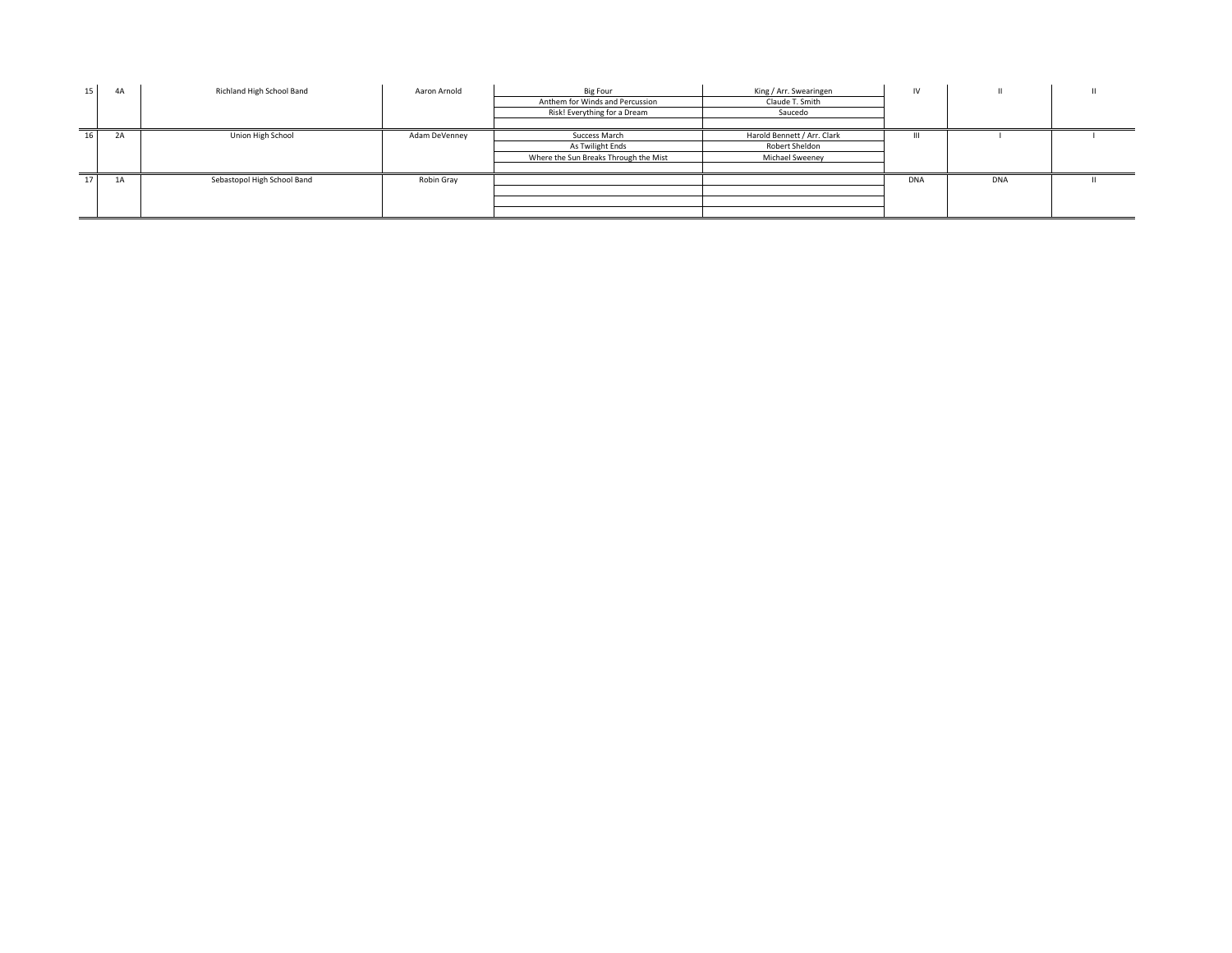| 15 <sup>1</sup> | 4A | Richland High School Band   | Aaron Arnold  | <b>Big Four</b>                       | King / Arr. Swearingen      | IV         |            |  |
|-----------------|----|-----------------------------|---------------|---------------------------------------|-----------------------------|------------|------------|--|
|                 |    |                             |               | Anthem for Winds and Percussion       | Claude T. Smith             |            |            |  |
|                 |    |                             |               | Risk! Everything for a Dream          | Saucedo                     |            |            |  |
|                 |    |                             |               |                                       |                             |            |            |  |
| 16 <sup>1</sup> | 2A | Union High School           | Adam DeVenney | Success March                         | Harold Bennett / Arr. Clark |            |            |  |
|                 |    |                             |               | As Twilight Ends                      | Robert Sheldon              |            |            |  |
|                 |    |                             |               | Where the Sun Breaks Through the Mist | Michael Sweenev             |            |            |  |
|                 |    |                             |               |                                       |                             |            |            |  |
| 17 <sup>1</sup> | 1A | Sebastopol High School Band | Robin Gray    |                                       |                             | <b>DNA</b> | <b>DNA</b> |  |
|                 |    |                             |               |                                       |                             |            |            |  |
|                 |    |                             |               |                                       |                             |            |            |  |
|                 |    |                             |               |                                       |                             |            |            |  |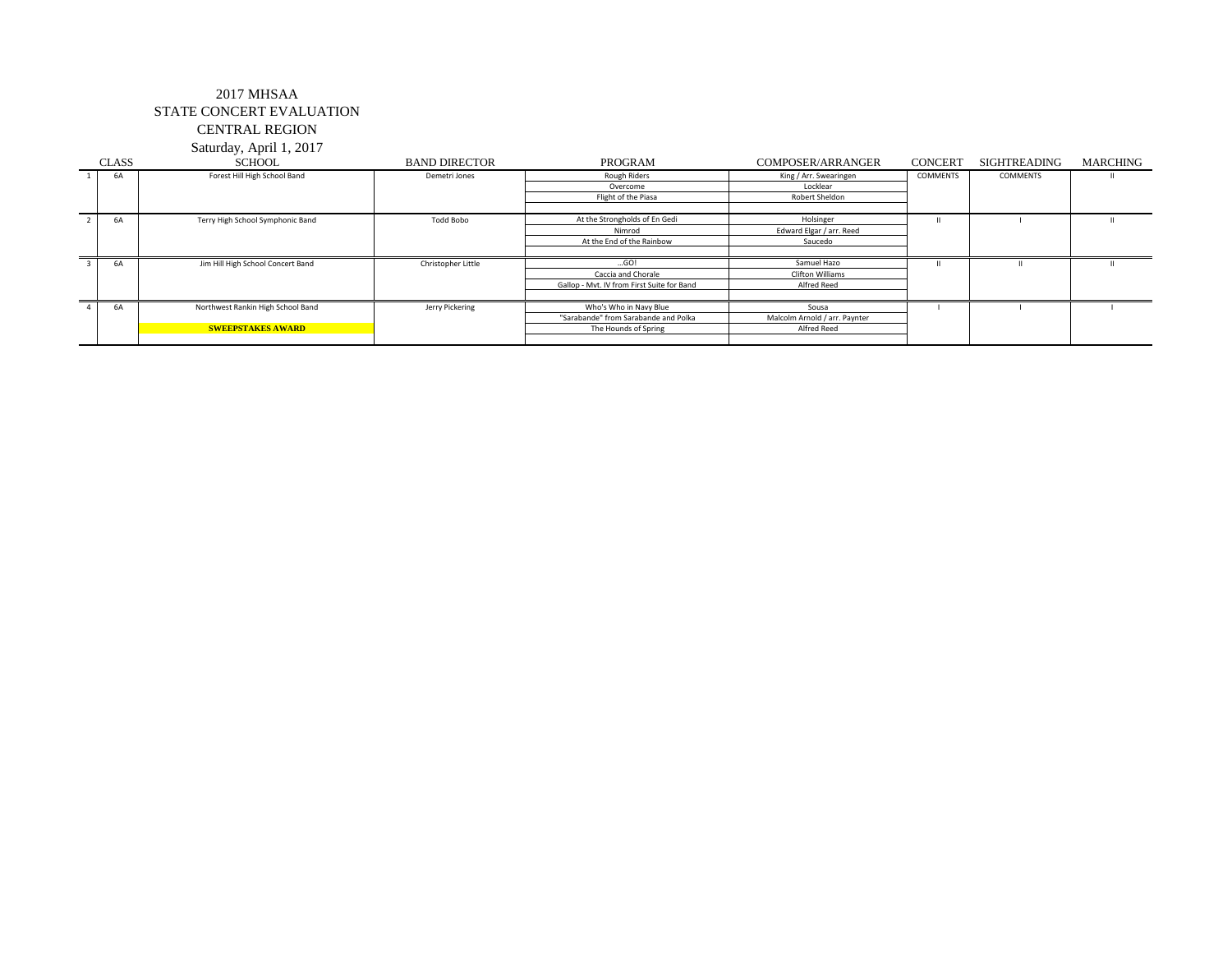## 2017 MHSAA STATE CONCERT EVALUATION CENTRAL REGION

Saturday, April 1, 2017

| <b>CLASS</b> | <b>SCHOOL</b>                     | <b>BAND DIRECTOR</b> | PROGRAM                                    | <b>COMPOSER/ARRANGER</b>      | <b>CONCERT</b>  | SIGHTREADING | <b>MARCHING</b> |
|--------------|-----------------------------------|----------------------|--------------------------------------------|-------------------------------|-----------------|--------------|-----------------|
| 6A           | Forest Hill High School Band      | Demetri Jones        | Rough Riders                               | King / Arr. Swearingen        | <b>COMMENTS</b> | COMMENTS     |                 |
|              |                                   |                      | Overcome                                   | Locklear                      |                 |              |                 |
|              |                                   |                      | Flight of the Piasa                        | Robert Sheldon                |                 |              |                 |
|              |                                   |                      |                                            |                               |                 |              |                 |
| 6A           | Terry High School Symphonic Band  | Todd Bobo            | At the Strongholds of En Gedi              | Holsinger                     |                 |              |                 |
|              |                                   |                      | Nimrod                                     | Edward Elgar / arr. Reed      |                 |              |                 |
|              |                                   |                      | At the End of the Rainbow                  | Saucedo                       |                 |              |                 |
|              |                                   |                      |                                            |                               |                 |              |                 |
| 6A           | Jim Hill High School Concert Band | Christopher Little   | GO!                                        | Samuel Hazo                   |                 |              |                 |
|              |                                   |                      | Caccia and Chorale                         | <b>Clifton Williams</b>       |                 |              |                 |
|              |                                   |                      | Gallop - Mvt. IV from First Suite for Band | Alfred Reed                   |                 |              |                 |
|              |                                   |                      |                                            |                               |                 |              |                 |
| 6A           | Northwest Rankin High School Band | Jerry Pickering      | Who's Who in Navy Blue                     | Sousa                         |                 |              |                 |
|              |                                   |                      | "Sarabande" from Sarabande and Polka       | Malcolm Arnold / arr. Paynter |                 |              |                 |
|              | <b>SWEEPSTAKES AWARD</b>          |                      | The Hounds of Spring                       | Alfred Reed                   |                 |              |                 |
|              |                                   |                      |                                            |                               |                 |              |                 |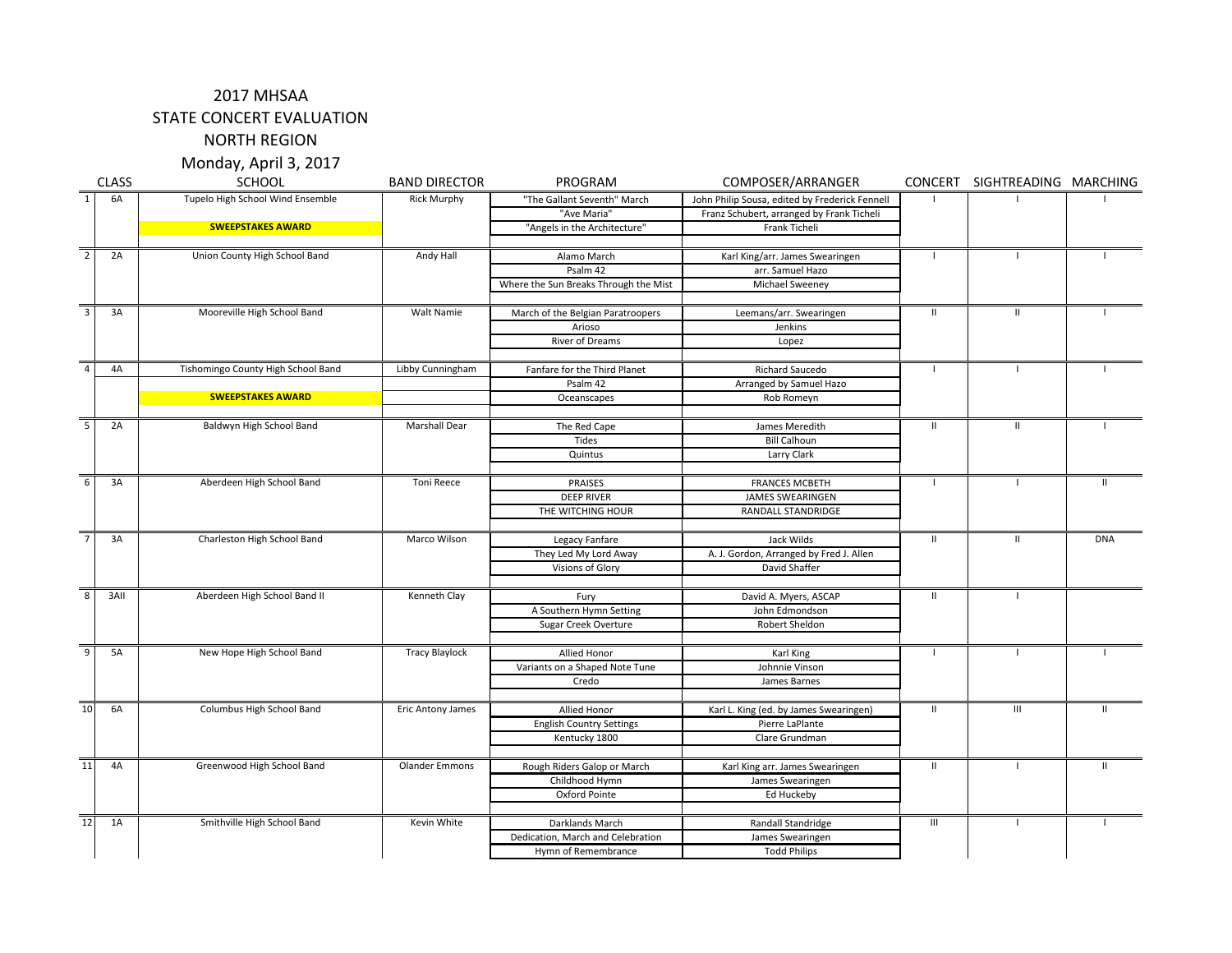### 2017 MHSAA

STATE CONCERT EVALUATION

NORTH REGION

Monday, April 3, 2017

|                | <b>CLASS</b> | <b>SCHOOL</b>                      | <b>BAND DIRECTOR</b>     | PROGRAM                               | COMPOSER/ARRANGER                              | <b>CONCERT</b>          | SIGHTREADING MARCHING |              |  |
|----------------|--------------|------------------------------------|--------------------------|---------------------------------------|------------------------------------------------|-------------------------|-----------------------|--------------|--|
| $\mathbf{1}$   | 6A           | Tupelo High School Wind Ensemble   | <b>Rick Murphy</b>       | "The Gallant Seventh" March           | John Philip Sousa, edited by Frederick Fennell |                         |                       |              |  |
|                |              |                                    |                          | "Ave Maria"                           | Franz Schubert, arranged by Frank Ticheli      |                         |                       |              |  |
|                |              | <b>SWEEPSTAKES AWARD</b>           |                          | "Angels in the Architecture"          | Frank Ticheli                                  |                         |                       |              |  |
| $\overline{2}$ | 2A           | Union County High School Band      | Andy Hall                | Alamo March                           | Karl King/arr. James Swearingen                | $\mathbf{I}$            | $\blacksquare$        |              |  |
|                |              |                                    |                          | Psalm 42                              | arr. Samuel Hazo                               |                         |                       |              |  |
|                |              |                                    |                          | Where the Sun Breaks Through the Mist | Michael Sweeney                                |                         |                       |              |  |
|                |              |                                    |                          |                                       |                                                |                         |                       |              |  |
| $\overline{3}$ | 3A           | Mooreville High School Band        | Walt Namie               | March of the Belgian Paratroopers     | Leemans/arr. Swearingen                        | $\mathbf{H}$            | $\mathbf{H}$          |              |  |
|                |              |                                    |                          | Arioso                                | Jenkins                                        |                         |                       |              |  |
|                |              |                                    |                          | River of Dreams                       | Lopez                                          |                         |                       |              |  |
| $\overline{4}$ | 4A           | Tishomingo County High School Band | Libby Cunningham         | Fanfare for the Third Planet          | Richard Saucedo                                |                         | $\mathbf{I}$          |              |  |
|                |              |                                    |                          | Psalm 42                              | Arranged by Samuel Hazo                        |                         |                       |              |  |
|                |              | <b>SWEEPSTAKES AWARD</b>           |                          | Oceanscapes                           | Rob Romeyn                                     |                         |                       |              |  |
|                |              |                                    |                          |                                       |                                                |                         |                       |              |  |
|                | 2A           | Baldwyn High School Band           | Marshall Dear            | The Red Cape                          | James Meredith                                 | $\mathbf{H}$            | $\mathbf{H}$          |              |  |
|                |              |                                    |                          | Tides                                 | <b>Bill Calhoun</b>                            |                         |                       |              |  |
|                |              |                                    |                          | Quintus                               | Larry Clark                                    |                         |                       |              |  |
| 6              | 3A           | Aberdeen High School Band          | Toni Reece               | PRAISES                               | <b>FRANCES MCBETH</b>                          | $\mathbf{L}$            | $\Box$                | $\mathbf{H}$ |  |
|                |              |                                    |                          | <b>DEEP RIVER</b>                     | <b>JAMES SWEARINGEN</b>                        |                         |                       |              |  |
|                |              |                                    |                          | THE WITCHING HOUR                     | RANDALL STANDRIDGE                             |                         |                       |              |  |
|                |              |                                    |                          |                                       |                                                |                         |                       |              |  |
| $\overline{7}$ | 3A           | Charleston High School Band        | Marco Wilson             | Legacy Fanfare                        | Jack Wilds                                     | $\overline{\mathbf{u}}$ | $\mathbf{II}$         | <b>DNA</b>   |  |
|                |              |                                    |                          | They Led My Lord Away                 | A. J. Gordon, Arranged by Fred J. Allen        |                         |                       |              |  |
|                |              |                                    |                          | Visions of Glory                      | David Shaffer                                  |                         |                       |              |  |
|                |              |                                    |                          |                                       |                                                |                         |                       |              |  |
| $\overline{8}$ | 3AII         | Aberdeen High School Band II       | Kenneth Clay             | Fury                                  | David A. Myers, ASCAP                          | Ш                       | $\mathbf{I}$          |              |  |
|                |              |                                    |                          | A Southern Hymn Setting               | John Edmondson                                 |                         |                       |              |  |
|                |              |                                    |                          | Sugar Creek Overture                  | Robert Sheldon                                 |                         |                       |              |  |
| $\overline{9}$ | 5A           | New Hope High School Band          | <b>Tracy Blaylock</b>    | Allied Honor                          | Karl King                                      | $\mathbf{I}$            | $\mathbf{I}$          |              |  |
|                |              |                                    |                          | Variants on a Shaped Note Tune        | Johnnie Vinson                                 |                         |                       |              |  |
|                |              |                                    |                          | Credo                                 | James Barnes                                   |                         |                       |              |  |
|                |              |                                    |                          |                                       |                                                |                         |                       |              |  |
| 10             | 6A           | Columbus High School Band          | <b>Eric Antony James</b> | Allied Honor                          | Karl L. King (ed. by James Swearingen)         | $\mathbf{H}$            | III                   | $\mathbf{H}$ |  |
|                |              |                                    |                          | <b>English Country Settings</b>       | Pierre LaPlante                                |                         |                       |              |  |
|                |              |                                    |                          | Kentucky 1800                         | Clare Grundman                                 |                         |                       |              |  |
|                |              |                                    |                          |                                       |                                                |                         |                       |              |  |
| 11             | 4A           | Greenwood High School Band         | <b>Olander Emmons</b>    | Rough Riders Galop or March           | Karl King arr. James Swearingen                | $\mathbf{H}$            | $\mathbf{I}$          | $\mathbf{H}$ |  |
|                |              |                                    |                          | Childhood Hymn                        | James Swearingen                               |                         |                       |              |  |
|                |              |                                    |                          | Oxford Pointe                         | Ed Huckeby                                     |                         |                       |              |  |
| 12             |              |                                    |                          |                                       |                                                |                         |                       |              |  |
|                | 1A           | Smithville High School Band        | Kevin White              | Darklands March                       | Randall Standridge                             | Ш                       |                       |              |  |
|                |              |                                    |                          | Dedication, March and Celebration     | James Swearingen                               |                         |                       |              |  |
|                |              |                                    |                          | Hymn of Remembrance                   | <b>Todd Philips</b>                            |                         |                       |              |  |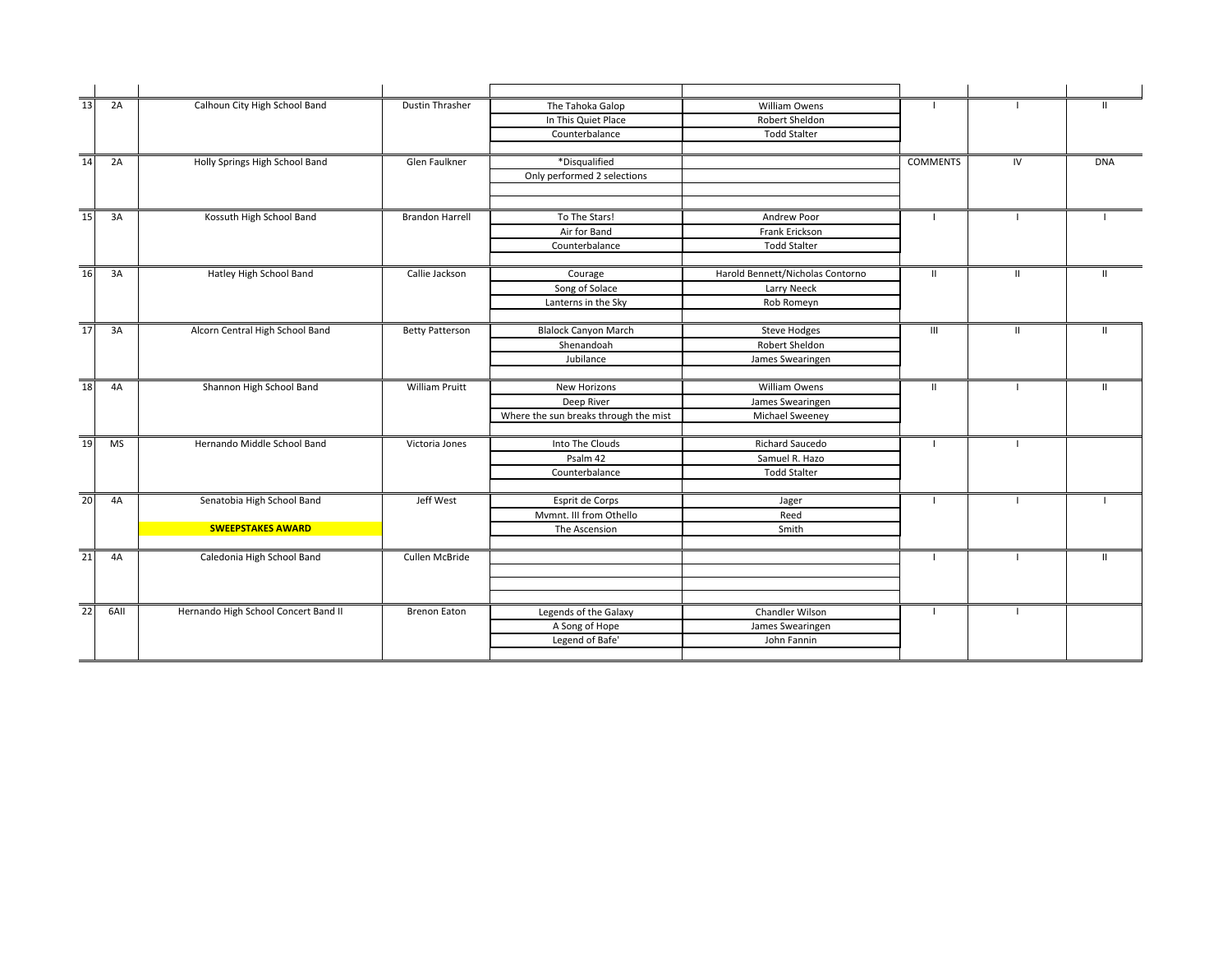| 13              | 2A        | Calhoun City High School Band        | Dustin Thrasher        | The Tahoka Galop                      | William Owens                    |                 |                | $\mathbf{H}$ |
|-----------------|-----------|--------------------------------------|------------------------|---------------------------------------|----------------------------------|-----------------|----------------|--------------|
|                 |           |                                      |                        | In This Quiet Place                   | Robert Sheldon                   |                 |                |              |
|                 |           |                                      |                        | Counterbalance                        | <b>Todd Stalter</b>              |                 |                |              |
| $\overline{14}$ | 2A        | Holly Springs High School Band       | Glen Faulkner          | *Disqualified                         |                                  | <b>COMMENTS</b> | IV             | <b>DNA</b>   |
|                 |           |                                      |                        | Only performed 2 selections           |                                  |                 |                |              |
|                 |           |                                      |                        |                                       |                                  |                 |                |              |
| 15              | 3A        | Kossuth High School Band             | <b>Brandon Harrell</b> | To The Stars!                         | Andrew Poor                      |                 |                |              |
|                 |           |                                      |                        | Air for Band                          | Frank Erickson                   |                 |                |              |
|                 |           |                                      |                        | Counterbalance                        | <b>Todd Stalter</b>              |                 |                |              |
| 16              | 3A        | Hatley High School Band              | Callie Jackson         | Courage                               | Harold Bennett/Nicholas Contorno | $\mathbf{H}$    | $\mathbf{II}$  | $\mathbf{H}$ |
|                 |           |                                      |                        | Song of Solace                        | Larry Neeck                      |                 |                |              |
|                 |           |                                      |                        | Lanterns in the Sky                   | Rob Romeyn                       |                 |                |              |
|                 |           |                                      |                        |                                       |                                  |                 |                |              |
| 17              | 3A        | Alcorn Central High School Band      | <b>Betty Patterson</b> | <b>Blalock Canyon March</b>           | <b>Steve Hodges</b>              | Ш               | $\mathbf{H}$   | $\mathbf{H}$ |
|                 |           |                                      |                        | Shenandoah                            | Robert Sheldon                   |                 |                |              |
|                 |           |                                      |                        | Jubilance                             | James Swearingen                 |                 |                |              |
|                 |           |                                      |                        |                                       |                                  |                 |                |              |
| 18              | 4A        | Shannon High School Band             | <b>William Pruitt</b>  | New Horizons                          | William Owens                    | $\mathbf{H}$    | $\blacksquare$ | $\mathbf{H}$ |
|                 |           |                                      |                        | Deep River                            | James Swearingen                 |                 |                |              |
|                 |           |                                      |                        | Where the sun breaks through the mist | Michael Sweeney                  |                 |                |              |
| 19              | <b>MS</b> | Hernando Middle School Band          | Victoria Jones         | Into The Clouds                       | <b>Richard Saucedo</b>           |                 |                |              |
|                 |           |                                      |                        | Psalm 42                              | Samuel R. Hazo                   |                 |                |              |
|                 |           |                                      |                        | Counterbalance                        | <b>Todd Stalter</b>              |                 |                |              |
| 20              | 4A        | Senatobia High School Band           | Jeff West              | Esprit de Corps                       | Jager                            | -1              |                |              |
|                 |           |                                      |                        | Mymnt. III from Othello               | Reed                             |                 |                |              |
|                 |           | <b>SWEEPSTAKES AWARD</b>             |                        | The Ascension                         | Smith                            |                 |                |              |
|                 |           |                                      |                        |                                       |                                  |                 |                |              |
| 21              | 4A        | Caledonia High School Band           | Cullen McBride         |                                       |                                  |                 | - 1            | $\mathbf{H}$ |
|                 |           |                                      |                        |                                       |                                  |                 |                |              |
|                 |           |                                      |                        |                                       |                                  |                 |                |              |
| $\overline{22}$ | 6AII      | Hernando High School Concert Band II | <b>Brenon Eaton</b>    | Legends of the Galaxy                 | Chandler Wilson                  | -1              | - 1            |              |
|                 |           |                                      |                        | A Song of Hope                        | James Swearingen                 |                 |                |              |
|                 |           |                                      |                        | Legend of Bafe'                       | John Fannin                      |                 |                |              |
|                 |           |                                      |                        |                                       |                                  |                 |                |              |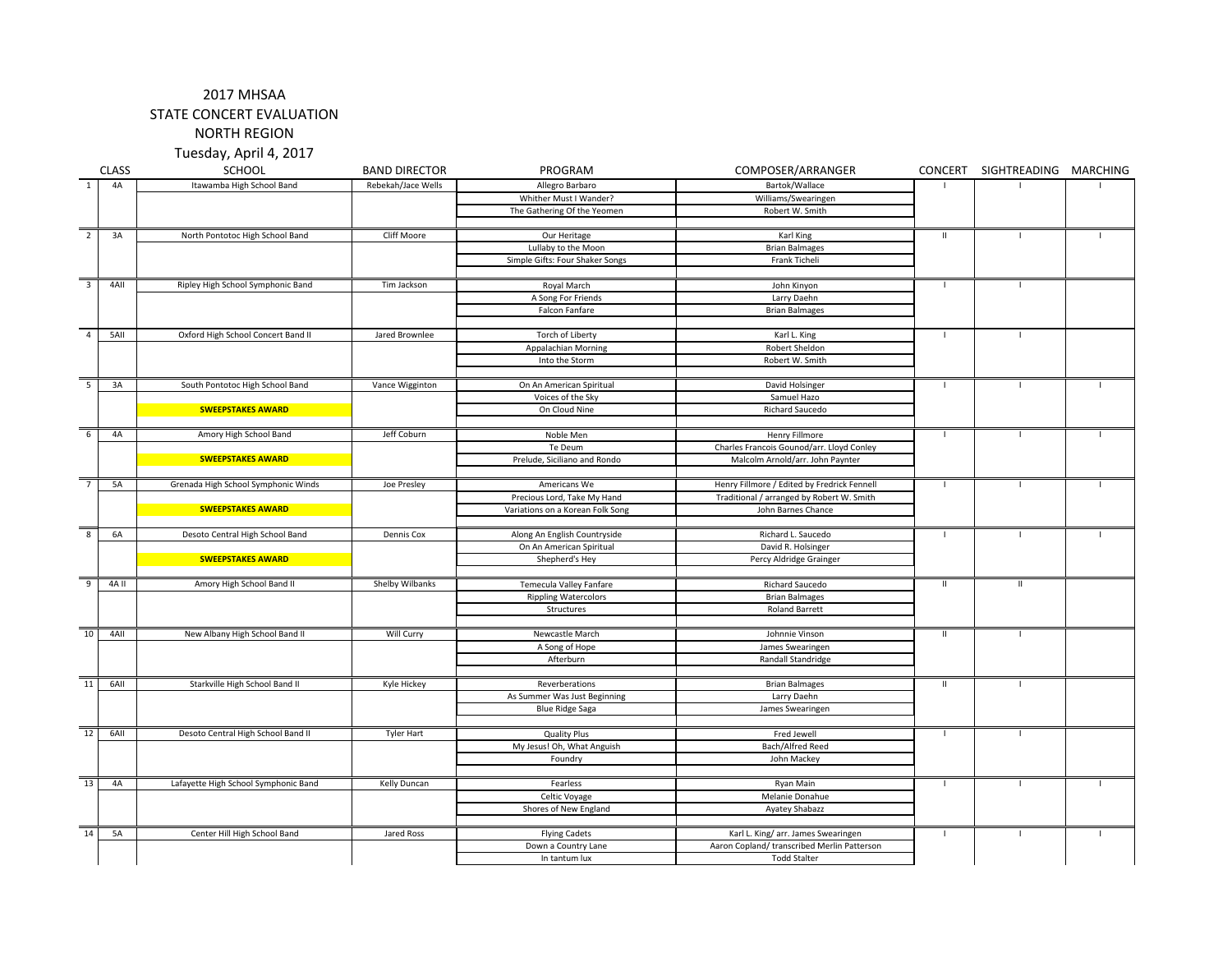#### 2017 MHSAA

STATE CONCERT EVALUATION

NORTH REGION

Tuesday, April 4, 2017

|                          | <b>CLASS</b> | <b>SCHOOL</b>                        | <b>BAND DIRECTOR</b> | PROGRAM                                 | COMPOSER/ARRANGER                           | CONCERT        | SIGHTREADING MARCHING |              |
|--------------------------|--------------|--------------------------------------|----------------------|-----------------------------------------|---------------------------------------------|----------------|-----------------------|--------------|
| $\overline{1}$           | 4A           | Itawamba High School Band            | Rebekah/Jace Wells   | Allegro Barbaro                         | Bartok/Wallace                              |                | -1                    |              |
|                          |              |                                      |                      | Whither Must I Wander?                  | Williams/Swearingen                         |                |                       |              |
|                          |              |                                      |                      | The Gathering Of the Yeomen             | Robert W. Smith                             |                |                       |              |
|                          |              |                                      |                      |                                         |                                             |                |                       |              |
| $\overline{2}$           | 3A           | North Pontotoc High School Band      | Cliff Moore          | Our Heritage                            | Karl King                                   | $\mathbf{II}$  | $\mathbf{I}$          |              |
|                          |              |                                      |                      | Lullaby to the Moon                     | <b>Brian Balmages</b>                       |                |                       |              |
|                          |              |                                      |                      | Simple Gifts: Four Shaker Songs         | Frank Ticheli                               |                |                       |              |
|                          |              |                                      |                      |                                         |                                             |                |                       |              |
| $\overline{\mathbf{3}}$  | 4AII         | Ripley High School Symphonic Band    | Tim Jackson          | Royal March                             | John Kinyon                                 |                |                       |              |
|                          |              |                                      |                      | A Song For Friends                      | Larry Daehn                                 |                |                       |              |
|                          |              |                                      |                      | Falcon Fanfare                          | <b>Brian Balmages</b>                       |                |                       |              |
| $\overline{4}$           | 5AII         | Oxford High School Concert Band II   | Jared Brownlee       |                                         |                                             | $\mathbf{I}$   | $\mathbf{I}$          |              |
|                          |              |                                      |                      | Torch of Liberty<br>Appalachian Morning | Karl L. King<br>Robert Sheldon              |                |                       |              |
|                          |              |                                      |                      | Into the Storm                          | Robert W. Smith                             |                |                       |              |
|                          |              |                                      |                      |                                         |                                             |                |                       |              |
| $\overline{\phantom{a}}$ | 3A           | South Pontotoc High School Band      | Vance Wigginton      | On An American Spiritual                | David Holsinger                             | $\mathbf{I}$   | $\mathbf{I}$          |              |
|                          |              |                                      |                      | Voices of the Sky                       | Samuel Hazo                                 |                |                       |              |
|                          |              | <b>SWEEPSTAKES AWARD</b>             |                      | On Cloud Nine                           | Richard Saucedo                             |                |                       |              |
|                          |              |                                      |                      |                                         |                                             |                |                       |              |
| 6                        | 4A           | Amory High School Band               | Jeff Coburn          | Noble Men                               | <b>Henry Fillmore</b>                       | $\mathbf{I}$   | - I                   |              |
|                          |              |                                      |                      | Te Deum                                 | Charles Francois Gounod/arr. Lloyd Conley   |                |                       |              |
|                          |              | <b>SWEEPSTAKES AWARD</b>             |                      | Prelude, Siciliano and Rondo            | Malcolm Arnold/arr. John Paynter            |                |                       |              |
|                          |              |                                      |                      |                                         |                                             |                |                       |              |
| $\overline{7}$           | <b>5A</b>    | Grenada High School Symphonic Winds  | Joe Presley          | Americans We                            | Henry Fillmore / Edited by Fredrick Fennell | $\mathbf{I}$   | $\mathbf{I}$          |              |
|                          |              |                                      |                      | Precious Lord, Take My Hand             | Traditional / arranged by Robert W. Smith   |                |                       |              |
|                          |              | <b>SWEEPSTAKES AWARD</b>             |                      | Variations on a Korean Folk Song        | John Barnes Chance                          |                |                       |              |
|                          |              |                                      |                      |                                         |                                             |                |                       |              |
| $\overline{\mathbf{8}}$  | 6A           | Desoto Central High School Band      | Dennis Cox           | Along An English Countryside            | Richard L. Saucedo                          | $\mathbf{L}$   | -11                   |              |
|                          |              | <b>SWEEPSTAKES AWARD</b>             |                      | On An American Spiritual                | David R. Holsinger                          |                |                       |              |
|                          |              |                                      |                      | Shepherd's Hey                          | Percy Aldridge Grainger                     |                |                       |              |
| $\overline{9}$           | $4A$ II      | Amory High School Band II            | Shelby Wilbanks      | Temecula Valley Fanfare                 | Richard Saucedo                             | $\mathbf{H}$   | Ш                     |              |
|                          |              |                                      |                      | <b>Rippling Watercolors</b>             | <b>Brian Balmages</b>                       |                |                       |              |
|                          |              |                                      |                      | Structures                              | Roland Barrett                              |                |                       |              |
|                          |              |                                      |                      |                                         |                                             |                |                       |              |
| 10                       | 4AII         | New Albany High School Band II       | Will Curry           | Newcastle March                         | Johnnie Vinson                              | $\mathbf{II}$  | $\mathbf{I}$          |              |
|                          |              |                                      |                      | A Song of Hope                          | James Swearingen                            |                |                       |              |
|                          |              |                                      |                      | Afterburn                               | Randall Standridge                          |                |                       |              |
|                          |              |                                      |                      |                                         |                                             |                |                       |              |
| 11                       | 6AII         | Starkville High School Band II       | Kyle Hickey          | Reverberations                          | <b>Brian Balmages</b>                       | $\mathbf{H}$   | $\mathbf{I}$          |              |
|                          |              |                                      |                      | As Summer Was Just Beginning            | Larry Daehn                                 |                |                       |              |
|                          |              |                                      |                      | <b>Blue Ridge Saga</b>                  | James Swearingen                            |                |                       |              |
| 12                       | 6AII         | Desoto Central High School Band II   |                      | <b>Quality Plus</b>                     | Fred Jewell                                 | $\overline{1}$ |                       |              |
|                          |              |                                      | <b>Tyler Hart</b>    | My Jesus! Oh, What Anguish              | Bach/Alfred Reed                            |                |                       |              |
|                          |              |                                      |                      | Foundry                                 | John Mackey                                 |                |                       |              |
|                          |              |                                      |                      |                                         |                                             |                |                       |              |
| 13                       | 4A           | Lafayette High School Symphonic Band | Kelly Duncan         | Fearless                                | Ryan Main                                   | $\mathbf{I}$   | $\mathbf{I}$          |              |
|                          |              |                                      |                      | Celtic Voyage                           | Melanie Donahue                             |                |                       |              |
|                          |              |                                      |                      | Shores of New England                   | Ayatey Shabazz                              |                |                       |              |
|                          |              |                                      |                      |                                         |                                             |                |                       |              |
| 14                       | 5A           | Center Hill High School Band         | Jared Ross           | <b>Flying Cadets</b>                    | Karl L. King/ arr. James Swearingen         | $\mathbf{I}$   | $\mathbf{I}$          | $\mathbf{I}$ |
|                          |              |                                      |                      | Down a Country Lane                     | Aaron Copland/ transcribed Merlin Patterson |                |                       |              |
|                          |              |                                      |                      | In tantum lux                           | <b>Todd Stalter</b>                         |                |                       |              |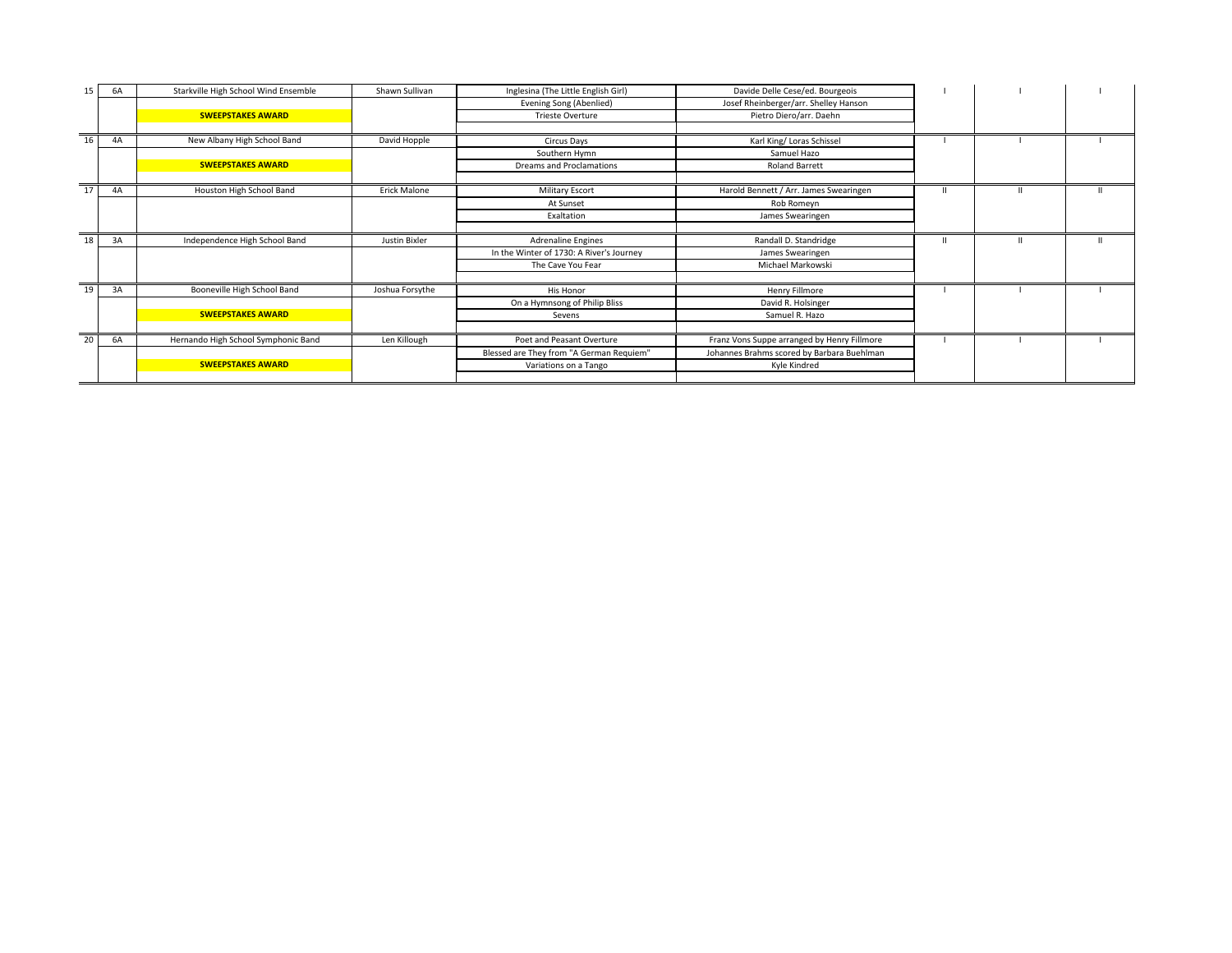| 15 | 6A | Starkville High School Wind Ensemble | Shawn Sullivan  | Inglesina (The Little English Girl)      | Davide Delle Cese/ed. Bourgeois             |  |  |
|----|----|--------------------------------------|-----------------|------------------------------------------|---------------------------------------------|--|--|
|    |    |                                      |                 | Evening Song (Abenlied)                  | Josef Rheinberger/arr. Shelley Hanson       |  |  |
|    |    | <b>SWEEPSTAKES AWARD</b>             |                 | <b>Trieste Overture</b>                  | Pietro Diero/arr. Daehn                     |  |  |
|    |    |                                      |                 |                                          |                                             |  |  |
| 16 | 4A | New Albany High School Band          | David Hopple    | Circus Days                              | Karl King/ Loras Schissel                   |  |  |
|    |    |                                      |                 | Southern Hymn                            | Samuel Hazo                                 |  |  |
|    |    | <b>SWEEPSTAKES AWARD</b>             |                 | Dreams and Proclamations                 | <b>Roland Barrett</b>                       |  |  |
| 17 | 4A | Houston High School Band             | Erick Malone    | <b>Military Escort</b>                   | Harold Bennett / Arr. James Swearingen      |  |  |
|    |    |                                      |                 | At Sunset                                | Rob Romeyn                                  |  |  |
|    |    |                                      |                 | Exaltation                               | James Swearingen                            |  |  |
|    |    |                                      |                 |                                          |                                             |  |  |
| 18 | 3A | Independence High School Band        | Justin Bixler   | Adrenaline Engines                       | Randall D. Standridge                       |  |  |
|    |    |                                      |                 | In the Winter of 1730: A River's Journey | James Swearingen                            |  |  |
|    |    |                                      |                 | The Cave You Fear                        | Michael Markowski                           |  |  |
|    |    |                                      |                 |                                          |                                             |  |  |
| 19 | 3A | Booneville High School Band          | Joshua Forsythe | His Honor                                | Henry Fillmore                              |  |  |
|    |    |                                      |                 | On a Hymnsong of Philip Bliss            | David R. Holsinger                          |  |  |
|    |    | <b>SWEEPSTAKES AWARD</b>             |                 | Sevens                                   | Samuel R. Hazo                              |  |  |
|    |    |                                      |                 |                                          |                                             |  |  |
| 20 | 6A | Hernando High School Symphonic Band  | Len Killough    | Poet and Peasant Overture                | Franz Vons Suppe arranged by Henry Fillmore |  |  |
|    |    |                                      |                 | Blessed are They from "A German Requiem" | Johannes Brahms scored by Barbara Buehlman  |  |  |
|    |    | <b>SWEEPSTAKES AWARD</b>             |                 | Variations on a Tango                    | Kyle Kindred                                |  |  |
|    |    |                                      |                 |                                          |                                             |  |  |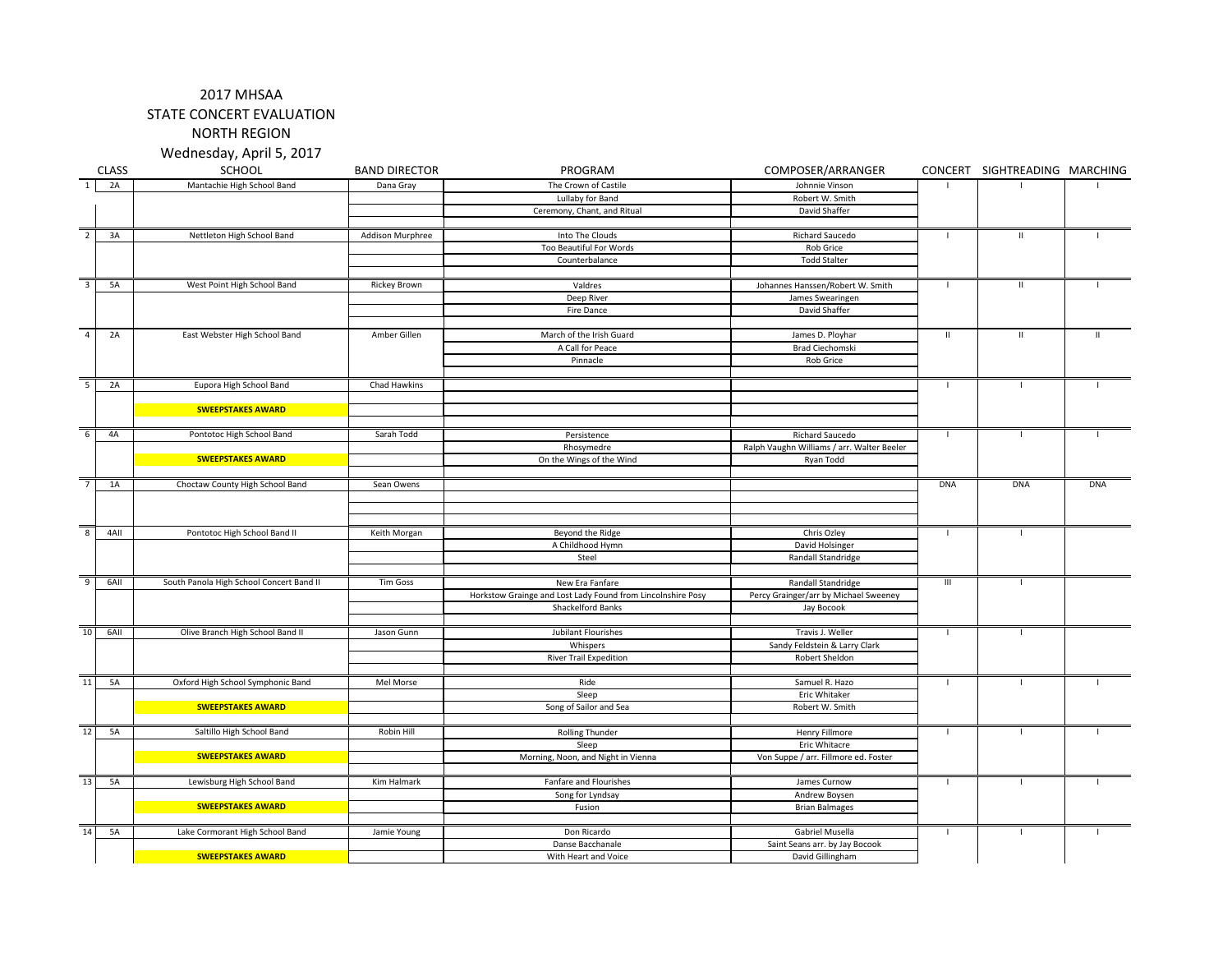NORTH REGION

Wednesday, April 5, 2017

|                 | <b>CLASS</b> | SCHOOL                                   | <b>BAND DIRECTOR</b> | PROGRAM                                                     | COMPOSER/ARRANGER                          |                | CONCERT SIGHTREADING MARCHING |            |
|-----------------|--------------|------------------------------------------|----------------------|-------------------------------------------------------------|--------------------------------------------|----------------|-------------------------------|------------|
| $\overline{1}$  | 2A           | Mantachie High School Band               | Dana Gray            | The Crown of Castile                                        | Johnnie Vinson                             |                |                               |            |
|                 |              |                                          |                      | Lullaby for Band                                            | Robert W. Smith                            |                |                               |            |
|                 |              |                                          |                      | Ceremony, Chant, and Ritual                                 | David Shaffer                              |                |                               |            |
|                 |              |                                          |                      |                                                             |                                            |                |                               |            |
| $\overline{2}$  | 3A           | Nettleton High School Band               | Addison Murphree     | Into The Clouds                                             | Richard Saucedo                            | $\mathbf{I}$   | Ш                             |            |
|                 |              |                                          |                      | Too Beautiful For Words                                     | <b>Rob Grice</b>                           |                |                               |            |
|                 |              |                                          |                      | Counterbalance                                              | <b>Todd Stalter</b>                        |                |                               |            |
|                 |              |                                          |                      |                                                             |                                            |                |                               |            |
| $\overline{3}$  | <b>5A</b>    | West Point High School Band              | Rickey Brown         | Valdres                                                     | Johannes Hanssen/Robert W. Smith           | -1             | $\mathbf{II}$                 |            |
|                 |              |                                          |                      | Deep River                                                  | James Swearingen                           |                |                               |            |
|                 |              |                                          |                      | Fire Dance                                                  | David Shaffer                              |                |                               |            |
| $\overline{4}$  | 2A           | East Webster High School Band            | Amber Gillen         |                                                             |                                            | H              | $\mathbf{H}$                  | ш          |
|                 |              |                                          |                      | March of the Irish Guard<br>A Call for Peace                | James D. Ployhar<br><b>Brad Ciechomski</b> |                |                               |            |
|                 |              |                                          |                      | Pinnacle                                                    | Rob Grice                                  |                |                               |            |
|                 |              |                                          |                      |                                                             |                                            |                |                               |            |
| 5               | 2A           | Eupora High School Band                  | Chad Hawkins         |                                                             |                                            | $\mathbf{I}$   | $\mathbf{I}$                  |            |
|                 |              |                                          |                      |                                                             |                                            |                |                               |            |
|                 |              | <b>SWEEPSTAKES AWARD</b>                 |                      |                                                             |                                            |                |                               |            |
|                 |              |                                          |                      |                                                             |                                            |                |                               |            |
| 6               | 4A           | Pontotoc High School Band                | Sarah Todd           | Persistence                                                 | Richard Saucedo                            | - 1            | $\blacksquare$                |            |
|                 |              |                                          |                      | Rhosymedre                                                  | Ralph Vaughn Williams / arr. Walter Beeler |                |                               |            |
|                 |              | <b>SWEEPSTAKES AWARD</b>                 |                      | On the Wings of the Wind                                    | Ryan Todd                                  |                |                               |            |
|                 |              |                                          |                      |                                                             |                                            |                |                               |            |
| $\overline{7}$  | 1A           | Choctaw County High School Band          | Sean Owens           |                                                             |                                            | <b>DNA</b>     | <b>DNA</b>                    | <b>DNA</b> |
|                 |              |                                          |                      |                                                             |                                            |                |                               |            |
|                 |              |                                          |                      |                                                             |                                            |                |                               |            |
| $\mathbf{g}$    | 4AII         | Pontotoc High School Band II             | Keith Morgan         | Beyond the Ridge                                            | Chris Ozley                                | -1             | $\mathbf{I}$                  |            |
|                 |              |                                          |                      | A Childhood Hymn                                            | David Holsinger                            |                |                               |            |
|                 |              |                                          |                      | Steel                                                       | Randall Standridge                         |                |                               |            |
|                 |              |                                          |                      |                                                             |                                            |                |                               |            |
| 9               | 6AII         | South Panola High School Concert Band II | <b>Tim Goss</b>      | New Era Fanfare                                             | Randall Standridge                         | $\mathbf{III}$ |                               |            |
|                 |              |                                          |                      | Horkstow Grainge and Lost Lady Found from Lincolnshire Posy | Percy Grainger/arr by Michael Sweeney      |                |                               |            |
|                 |              |                                          |                      | Shackelford Banks                                           | Jay Bocook                                 |                |                               |            |
|                 |              |                                          |                      |                                                             |                                            |                |                               |            |
| 10              | 6AII         | Olive Branch High School Band II         | Jason Gunn           | Jubilant Flourishes                                         | Travis J. Weller                           | $\mathbf{I}$   | $\mathbf{I}$                  |            |
|                 |              |                                          |                      | Whispers                                                    | Sandy Feldstein & Larry Clark              |                |                               |            |
|                 |              |                                          |                      | <b>River Trail Expedition</b>                               | Robert Sheldon                             |                |                               |            |
| $\overline{11}$ | 5A           | Oxford High School Symphonic Band        | Mel Morse            |                                                             |                                            | $\mathbf{I}$   |                               |            |
|                 |              |                                          |                      | Ride<br>Sleep                                               | Samuel R. Hazo<br>Eric Whitaker            |                |                               |            |
|                 |              | <b>SWEEPSTAKES AWARD</b>                 |                      | Song of Sailor and Sea                                      | Robert W. Smith                            |                |                               |            |
|                 |              |                                          |                      |                                                             |                                            |                |                               |            |
| 12              | <b>5A</b>    | Saltillo High School Band                | Robin Hill           | Rolling Thunder                                             | <b>Henry Fillmore</b>                      | -1             | $\mathbf{L}$                  |            |
|                 |              |                                          |                      | Sleep                                                       | Eric Whitacre                              |                |                               |            |
|                 |              | <b>SWEEPSTAKES AWARD</b>                 |                      | Morning, Noon, and Night in Vienna                          | Von Suppe / arr. Fillmore ed. Foster       |                |                               |            |
|                 |              |                                          |                      |                                                             |                                            |                |                               |            |
| 13              | 5A           | Lewisburg High School Band               | Kim Halmark          | Fanfare and Flourishes                                      | James Curnow                               | $\mathbf{I}$   |                               |            |
|                 |              |                                          |                      | Song for Lyndsay                                            | Andrew Boysen                              |                |                               |            |
|                 |              | <b>SWEEPSTAKES AWARD</b>                 |                      | Fusion                                                      | <b>Brian Balmages</b>                      |                |                               |            |
|                 |              |                                          |                      |                                                             |                                            |                |                               |            |
| $\overline{14}$ | <b>5A</b>    | Lake Cormorant High School Band          | Jamie Young          | Don Ricardo                                                 | Gabriel Musella                            | $\mathbf{I}$   | $\blacksquare$                |            |
|                 |              |                                          |                      | Danse Bacchanale                                            | Saint Seans arr. by Jay Bocook             |                |                               |            |
|                 |              | <b>SWEEPSTAKES AWARD</b>                 |                      | With Heart and Voice                                        | David Gillingham                           |                |                               |            |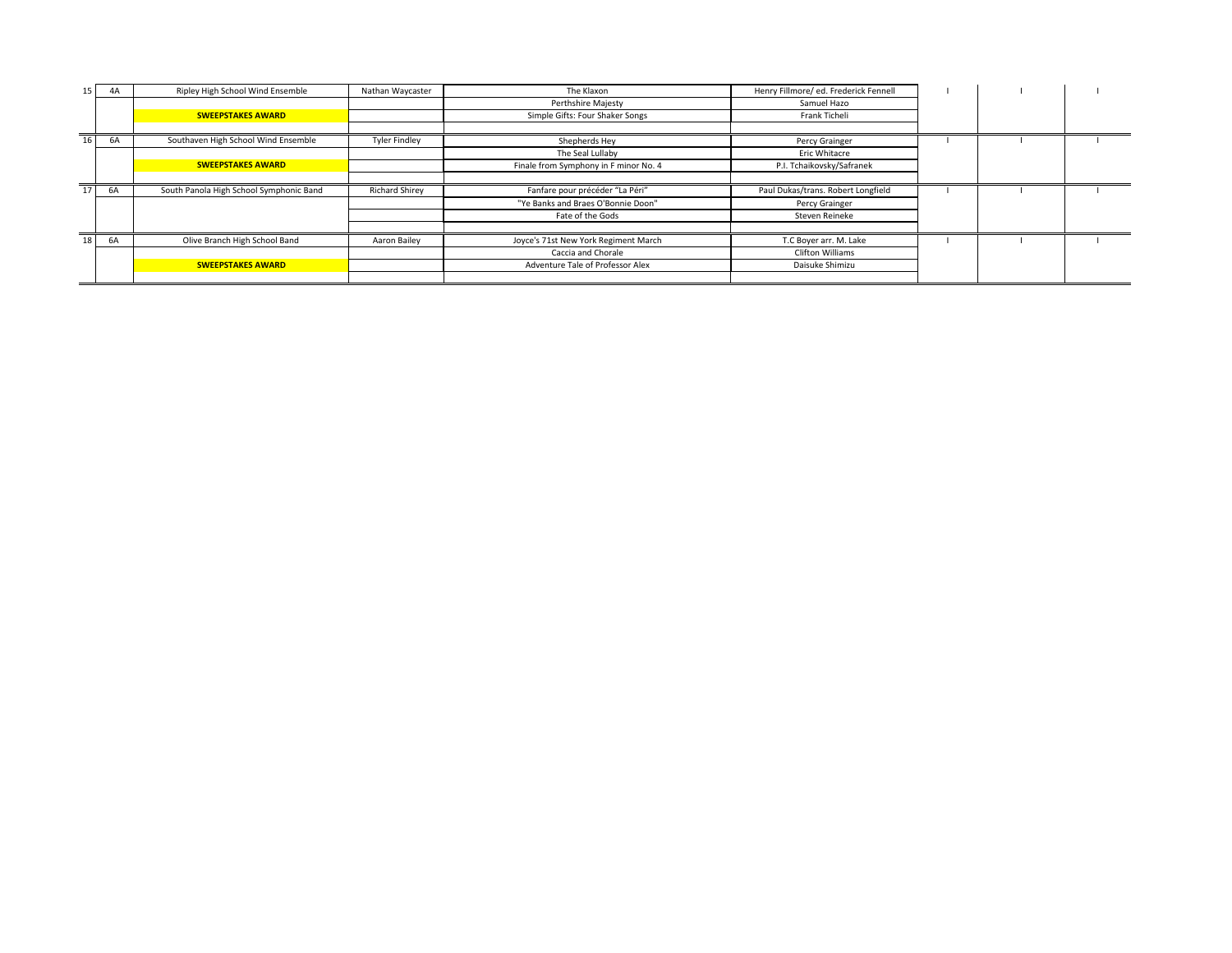| 15 <sup>1</sup> | 4A | Ripley High School Wind Ensemble        | Nathan Waycaster      | The Klaxon                            | Henry Fillmore/ ed. Frederick Fennell |  |  |
|-----------------|----|-----------------------------------------|-----------------------|---------------------------------------|---------------------------------------|--|--|
|                 |    |                                         |                       | Perthshire Majesty                    | Samuel Hazo                           |  |  |
|                 |    | <b>SWEEPSTAKES AWARD</b>                |                       | Simple Gifts: Four Shaker Songs       | Frank Ticheli                         |  |  |
|                 |    |                                         |                       |                                       |                                       |  |  |
| 16              | 6A | Southaven High School Wind Ensemble     | <b>Tyler Findley</b>  | Shepherds Hey                         | Percy Grainger                        |  |  |
|                 |    |                                         |                       | The Seal Lullaby                      | Eric Whitacre                         |  |  |
|                 |    | <b>SWEEPSTAKES AWARD</b>                |                       | Finale from Symphony in F minor No. 4 | P.I. Tchaikovsky/Safranek             |  |  |
|                 |    |                                         |                       |                                       |                                       |  |  |
| 17              | 6A | South Panola High School Symphonic Band | <b>Richard Shirev</b> | Fanfare pour précéder "La Péri"       | Paul Dukas/trans. Robert Longfield    |  |  |
|                 |    |                                         |                       | "Ye Banks and Braes O'Bonnie Doon"    | Percy Grainger                        |  |  |
|                 |    |                                         |                       | Fate of the Gods                      | Steven Reineke                        |  |  |
|                 |    |                                         |                       |                                       |                                       |  |  |
| 18 <sup>1</sup> | 6A | Olive Branch High School Band           | Aaron Bailey          | Joyce's 71st New York Regiment March  | T.C Boyer arr. M. Lake                |  |  |
|                 |    |                                         |                       | Caccia and Chorale                    | Clifton Williams                      |  |  |
|                 |    | <b>SWEEPSTAKES AWARD</b>                |                       | Adventure Tale of Professor Alex      | Daisuke Shimizu                       |  |  |
|                 |    |                                         |                       |                                       |                                       |  |  |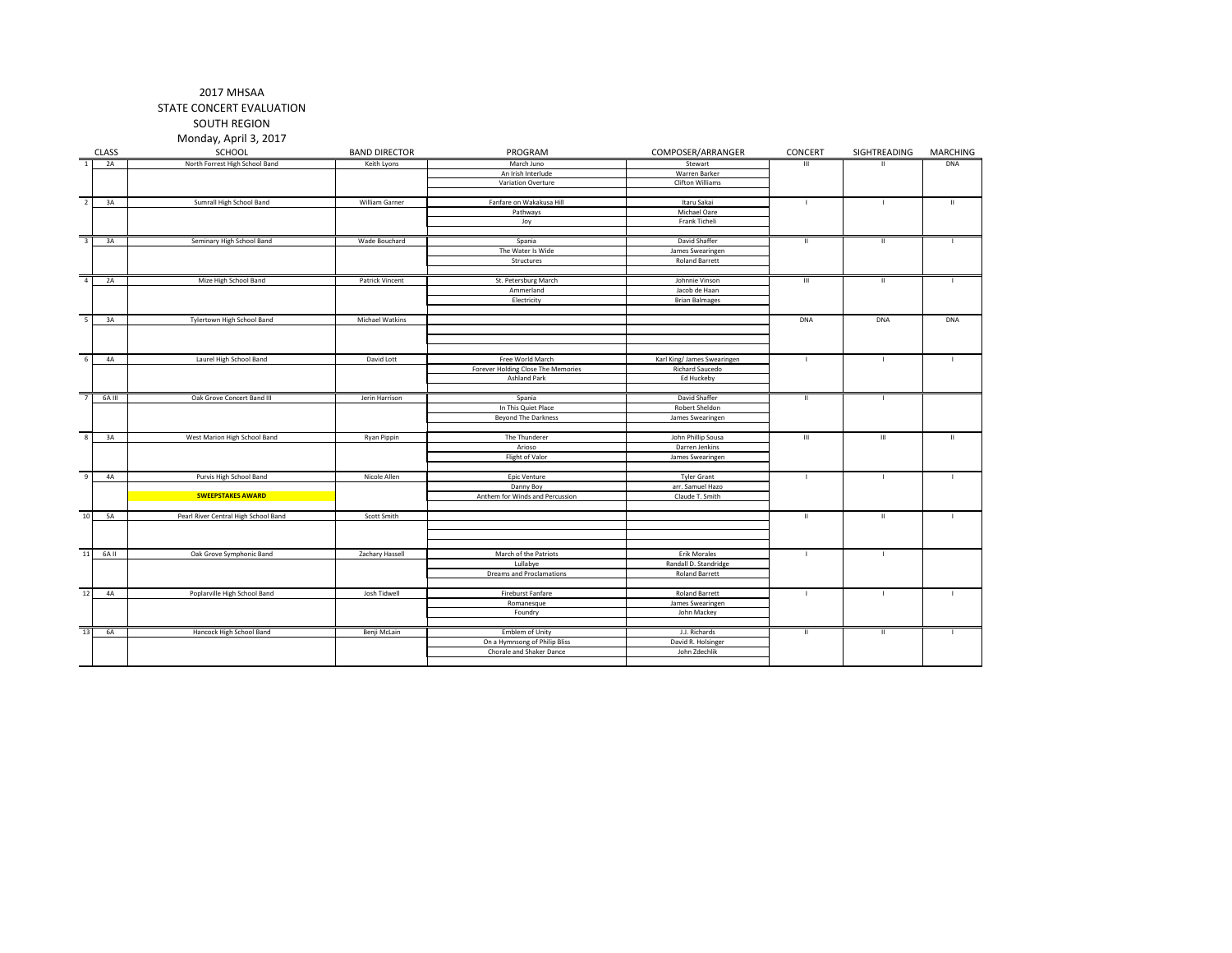SOUTH REGION Monday, April 3, 2017

|                         |              | iviviiway, Apijii j, 2017            |                      |                                             |                                                |                    |                |                 |
|-------------------------|--------------|--------------------------------------|----------------------|---------------------------------------------|------------------------------------------------|--------------------|----------------|-----------------|
|                         | <b>CLASS</b> | SCHOOL                               | <b>BAND DIRECTOR</b> | PROGRAM                                     | COMPOSER/ARRANGER                              | CONCERT            | SIGHTREADING   | <b>MARCHING</b> |
| $\overline{1}$          | 2A           | North Forrest High School Band       | Keith Lyons          | March Juno                                  | Stewart                                        | Ш                  |                | <b>DNA</b>      |
|                         |              |                                      |                      | An Irish Interlude                          | Warren Barker                                  |                    |                |                 |
|                         |              |                                      |                      | Variation Overture                          | Clifton Williams                               |                    |                |                 |
| $\overline{2}$          | 3A           | Sumrall High School Band             | William Garner       | Fanfare on Wakakusa Hill                    | Itaru Sakai                                    |                    |                | $\mathbf{H}$    |
|                         |              |                                      |                      | Pathways                                    | Michael Oare                                   |                    |                |                 |
|                         |              |                                      |                      | Joy                                         | Frank Ticheli                                  |                    |                |                 |
|                         |              |                                      |                      |                                             |                                                |                    |                |                 |
| $\overline{\mathbf{3}}$ | 3A           | Seminary High School Band            | Wade Bouchard        | Spania                                      | David Shaffer                                  | $\mathbf{H}$       | $\mathbf{H}$   |                 |
|                         |              |                                      |                      | The Water Is Wide                           | James Swearingen                               |                    |                |                 |
|                         |              |                                      |                      | Structures                                  | <b>Roland Barrett</b>                          |                    |                |                 |
| $\overline{4}$          | 2A           | Mize High School Band                | Patrick Vincent      | St. Petersburg March                        | Johnnie Vinson                                 | $\,$ III           | $\mathbf H$    |                 |
|                         |              |                                      |                      | Ammerland                                   | Jacob de Haan                                  |                    |                |                 |
|                         |              |                                      |                      | Electricity                                 | <b>Brian Balmages</b>                          |                    |                |                 |
|                         |              |                                      |                      |                                             |                                                |                    |                |                 |
| -5                      | 3A           | Tylertown High School Band           | Michael Watkins      |                                             |                                                | <b>DNA</b>         | <b>DNA</b>     | <b>DNA</b>      |
|                         |              |                                      |                      |                                             |                                                |                    |                |                 |
|                         |              |                                      |                      |                                             |                                                |                    |                |                 |
| 6                       | 4A           | Laurel High School Band              | David Lott           | Free World March                            | Karl King/ James Swearingen                    | $\overline{1}$     | $\mathbf{I}$   |                 |
|                         |              |                                      |                      | Forever Holding Close The Memories          | Richard Saucedo                                |                    |                |                 |
|                         |              |                                      |                      | <b>Ashland Park</b>                         | Ed Huckeby                                     |                    |                |                 |
|                         |              |                                      |                      |                                             |                                                |                    |                |                 |
| 7                       | 6A III       | Oak Grove Concert Band III           | Jerin Harrison       | Spania                                      | David Shaffer                                  | $\mathbf{H}$       | $\mathbf{L}$   |                 |
|                         |              |                                      |                      | In This Quiet Place                         | Robert Sheldon                                 |                    |                |                 |
|                         |              |                                      |                      | <b>Beyond The Darkness</b>                  | James Swearingen                               |                    |                |                 |
| 8                       | 3A           | West Marion High School Band         | Ryan Pippin          | The Thunderer                               | John Phillip Sousa                             | $\mathop{\rm III}$ | $\mathbf{III}$ | Ш               |
|                         |              |                                      |                      | Arioso                                      | Darren Jenkins                                 |                    |                |                 |
|                         |              |                                      |                      | Flight of Valor                             | James Swearingen                               |                    |                |                 |
|                         |              |                                      |                      |                                             |                                                |                    |                |                 |
| 9                       | 4A           | Purvis High School Band              | Nicole Allen         | Epic Venture                                | <b>Tyler Grant</b>                             | $\mathbf{I}$       | $\mathbf{I}$   |                 |
|                         |              |                                      |                      | Danny Boy                                   | arr. Samuel Hazo                               |                    |                |                 |
|                         |              | <b>SWEEPSTAKES AWARD</b>             |                      | Anthem for Winds and Percussion             | Claude T. Smith                                |                    |                |                 |
| 10                      | 5A           | Pearl River Central High School Band | Scott Smith          |                                             |                                                | $\rm H$            | $\mathbf H$    |                 |
|                         |              |                                      |                      |                                             |                                                |                    |                |                 |
|                         |              |                                      |                      |                                             |                                                |                    |                |                 |
|                         |              |                                      |                      |                                             |                                                |                    |                |                 |
| $11\,$                  | 6A II        | Oak Grove Symphonic Band             | Zachary Hassell      | March of the Patriots                       | Erik Morales                                   | $\blacksquare$     | $\mathbf{L}$   |                 |
|                         |              |                                      |                      | Lullabye<br><b>Dreams and Proclamations</b> | Randall D. Standridge<br><b>Roland Barrett</b> |                    |                |                 |
|                         |              |                                      |                      |                                             |                                                |                    |                |                 |
| 12                      | 4A           | Poplarville High School Band         | Josh Tidwell         | Fireburst Fanfare                           | <b>Roland Barrett</b>                          | $\mathbf{I}$       | $\mathbf{I}$   |                 |
|                         |              |                                      |                      | Romanesque                                  | James Swearingen                               |                    |                |                 |
|                         |              |                                      |                      | Foundry                                     | John Mackey                                    |                    |                |                 |
| 13                      | 6A           | Hancock High School Band             | Benji McLain         | Emblem of Unity                             | J.J. Richards                                  | $\mathbf{H}$       | $\mathbf{H}$   |                 |
|                         |              |                                      |                      | On a Hymnsong of Philip Bliss               | David R. Holsinger                             |                    |                |                 |
|                         |              |                                      |                      | Chorale and Shaker Dance                    | John Zdechlik                                  |                    |                |                 |
|                         |              |                                      |                      |                                             |                                                |                    |                |                 |
|                         |              |                                      |                      |                                             |                                                |                    |                |                 |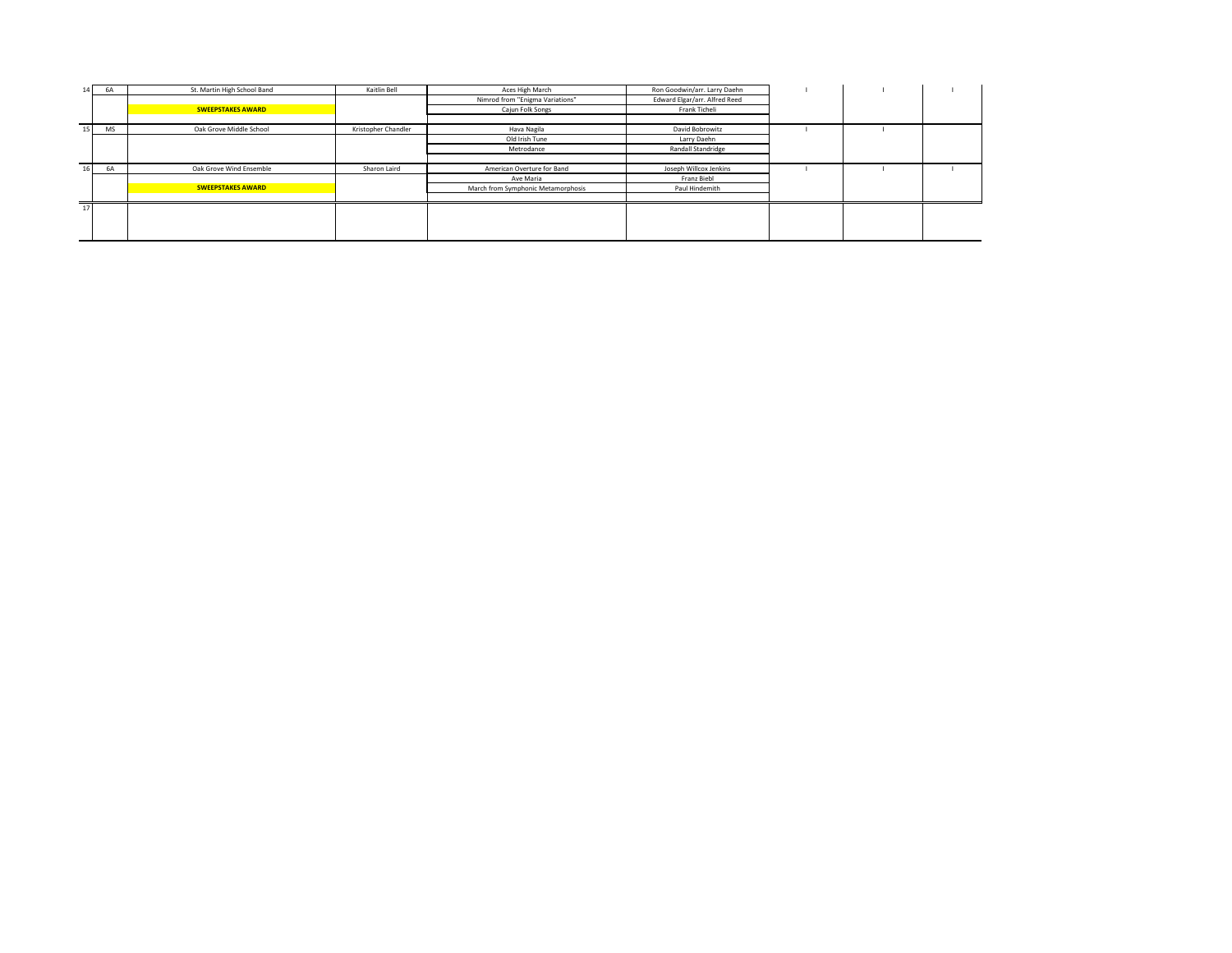| 14 <sub>1</sub> | 6A | St. Martin High School Band | Kaitlin Bell        | Aces High March                    | Ron Goodwin/arr. Larry Daehn  |  |  |
|-----------------|----|-----------------------------|---------------------|------------------------------------|-------------------------------|--|--|
|                 |    |                             |                     | Nimrod from "Enigma Variations"    | Edward Elgar/arr. Alfred Reed |  |  |
|                 |    | <b>SWEEPSTAKES AWARD</b>    |                     | Cajun Folk Songs                   | Frank Ticheli                 |  |  |
|                 |    |                             |                     |                                    |                               |  |  |
| 15              | MS | Oak Grove Middle School     | Kristopher Chandler | Hava Nagila                        | David Bobrowitz               |  |  |
|                 |    |                             |                     | Old Irish Tune                     | Larry Daehn                   |  |  |
|                 |    |                             |                     | Metrodance                         | Randall Standridge            |  |  |
|                 |    |                             |                     |                                    |                               |  |  |
| 16              | 6A | Oak Grove Wind Ensemble     | Sharon Laird        | American Overture for Band         | Joseph Willcox Jenkins        |  |  |
|                 |    |                             |                     | Ave Maria                          | Franz Biebl                   |  |  |
|                 |    | <b>SWEEPSTAKES AWARD</b>    |                     | March from Symphonic Metamorphosis | Paul Hindemith                |  |  |
|                 |    |                             |                     |                                    |                               |  |  |
| 17              |    |                             |                     |                                    |                               |  |  |
|                 |    |                             |                     |                                    |                               |  |  |
|                 |    |                             |                     |                                    |                               |  |  |
|                 |    |                             |                     |                                    |                               |  |  |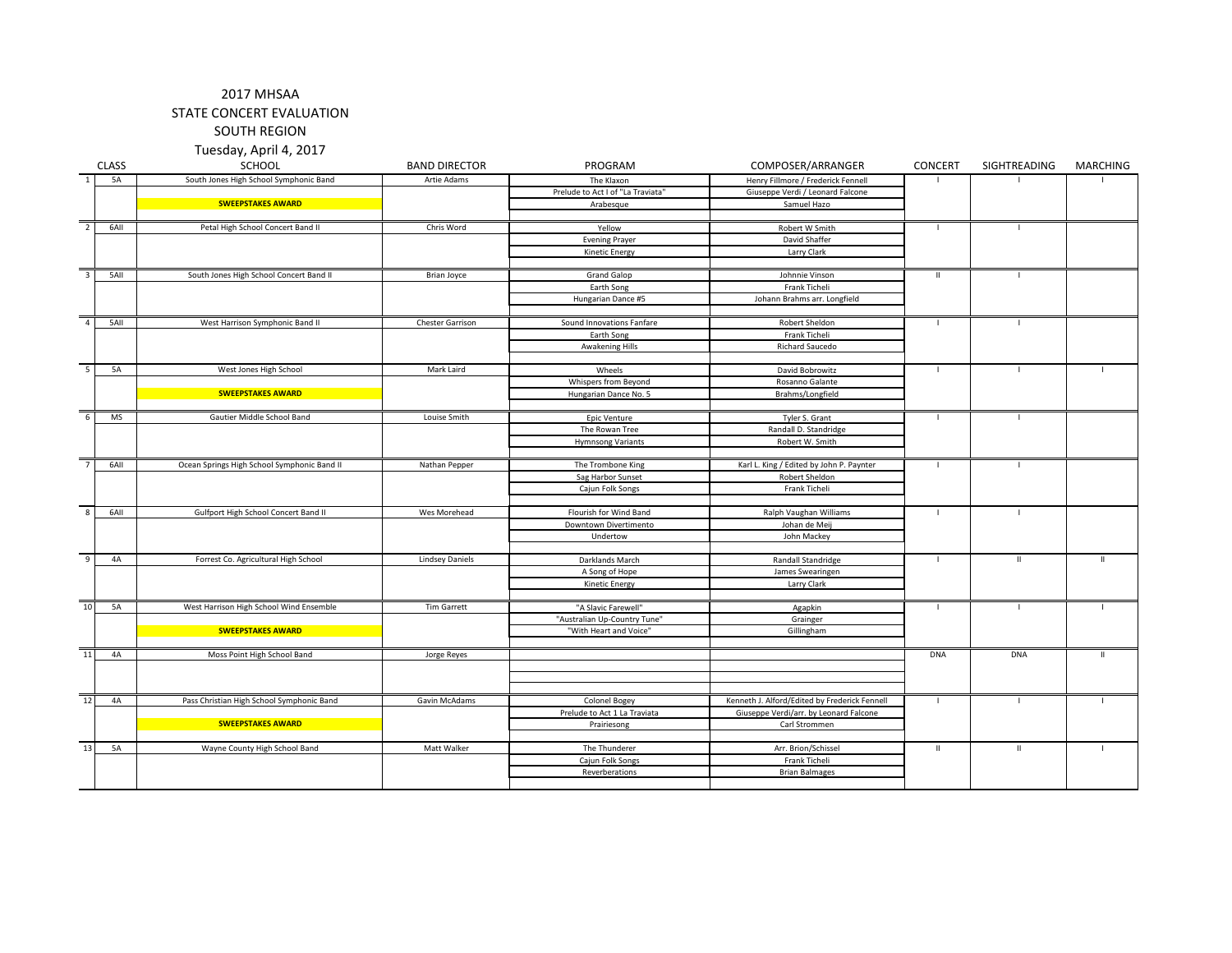# 2017 MHSAA

STATE CONCERT EVALUATION

SOUTH REGION

Tuesday, April 4, 2017

|                         | <b>CLASS</b> | SCHOOL                                      | <b>BAND DIRECTOR</b>   | PROGRAM                           | COMPOSER/ARRANGER                             | <b>CONCERT</b>           | SIGHTREADING   | MARCHING     |
|-------------------------|--------------|---------------------------------------------|------------------------|-----------------------------------|-----------------------------------------------|--------------------------|----------------|--------------|
| $\overline{1}$          | 5A           | South Jones High School Symphonic Band      | Artie Adams            | The Klaxon                        | Henry Fillmore / Frederick Fennell            |                          |                |              |
|                         |              |                                             |                        | Prelude to Act I of "La Traviata" | Giuseppe Verdi / Leonard Falcone              |                          |                |              |
|                         |              | <b>SWEEPSTAKES AWARD</b>                    |                        | Arabesque                         | Samuel Hazo                                   |                          |                |              |
|                         |              |                                             |                        |                                   |                                               |                          |                |              |
| $\overline{2}$          | 6AII         | Petal High School Concert Band II           | Chris Word             | Yellow                            | Robert W Smith                                | $\overline{\phantom{a}}$ |                |              |
|                         |              |                                             |                        | <b>Evening Prayer</b>             | David Shaffer                                 |                          |                |              |
|                         |              |                                             |                        | <b>Kinetic Energy</b>             | Larry Clark                                   |                          |                |              |
|                         |              |                                             |                        |                                   |                                               |                          |                |              |
| $\overline{\mathbf{3}}$ | 5AII         | South Jones High School Concert Band II     | Brian Joyce            | <b>Grand Galop</b>                | Johnnie Vinson                                | $\mathbf{H}$             | $\mathbf{L}$   |              |
|                         |              |                                             |                        | Earth Song                        | Frank Ticheli                                 |                          |                |              |
|                         |              |                                             |                        | Hungarian Dance #5                | Johann Brahms arr. Longfield                  |                          |                |              |
|                         |              |                                             |                        |                                   |                                               |                          |                |              |
| $\overline{4}$          | 5AII         | West Harrison Symphonic Band II             | Chester Garrison       | Sound Innovations Fanfare         | Robert Sheldon                                | $\mathbf{I}$             | $\mathbf{I}$   |              |
|                         |              |                                             |                        | Earth Song                        | Frank Ticheli                                 |                          |                |              |
|                         |              |                                             |                        | <b>Awakening Hills</b>            | Richard Saucedo                               |                          |                |              |
|                         |              |                                             |                        |                                   |                                               |                          |                |              |
| 5                       | 5A           | West Jones High School                      | Mark Laird             | Wheels                            | David Bobrowitz                               | $\overline{\phantom{a}}$ |                |              |
|                         |              |                                             |                        | Whispers from Beyond              | Rosanno Galante                               |                          |                |              |
|                         |              | <b>SWEEPSTAKES AWARD</b>                    |                        | Hungarian Dance No. 5             | Brahms/Longfield                              |                          |                |              |
|                         |              |                                             |                        |                                   |                                               |                          |                |              |
| 6                       | <b>MS</b>    | Gautier Middle School Band                  | Louise Smith           | Epic Venture                      | Tyler S. Grant                                | $\blacksquare$           | $\mathbf{I}$   |              |
|                         |              |                                             |                        | The Rowan Tree                    | Randall D. Standridge                         |                          |                |              |
|                         |              |                                             |                        | <b>Hymnsong Variants</b>          | Robert W. Smith                               |                          |                |              |
| $\overline{7}$          |              |                                             |                        |                                   |                                               |                          |                |              |
|                         | 6AII         | Ocean Springs High School Symphonic Band II | Nathan Pepper          | The Trombone King                 | Karl L. King / Edited by John P. Paynter      | $\blacksquare$           | $\blacksquare$ |              |
|                         |              |                                             |                        | Sag Harbor Sunset                 | Robert Sheldon                                |                          |                |              |
|                         |              |                                             |                        | Cajun Folk Songs                  | Frank Ticheli                                 |                          |                |              |
| $\overline{\mathbf{8}}$ | 6AII         | Gulfport High School Concert Band II        | Wes Morehead           | Flourish for Wind Band            |                                               | $\overline{\phantom{a}}$ |                |              |
|                         |              |                                             |                        | Downtown Divertimento             | Ralph Vaughan Williams<br>Johan de Mei        |                          |                |              |
|                         |              |                                             |                        | Undertow                          | John Mackey                                   |                          |                |              |
|                         |              |                                             |                        |                                   |                                               |                          |                |              |
| 9                       | <b>4A</b>    | Forrest Co. Agricultural High School        | <b>Lindsey Daniels</b> | Darklands March                   | Randall Standridge                            | $\blacksquare$           | $\mathbf{H}$   | $\mathbf{H}$ |
|                         |              |                                             |                        | A Song of Hope                    | James Swearingen                              |                          |                |              |
|                         |              |                                             |                        | Kinetic Energy                    | Larry Clark                                   |                          |                |              |
|                         |              |                                             |                        |                                   |                                               |                          |                |              |
| 10                      | <b>5A</b>    | West Harrison High School Wind Ensemble     | Tim Garrett            | "A Slavic Farewell"               | Agapkin                                       | $\mathbf{I}$             | $\overline{1}$ |              |
|                         |              |                                             |                        | "Australian Up-Country Tune"      | Grainger                                      |                          |                |              |
|                         |              | <b>SWEEPSTAKES AWARD</b>                    |                        | "With Heart and Voice"            | Gillingham                                    |                          |                |              |
|                         |              |                                             |                        |                                   |                                               |                          |                |              |
| 11                      | 4A           | Moss Point High School Band                 | Jorge Reyes            |                                   |                                               | <b>DNA</b>               | <b>DNA</b>     | $\mathbf{H}$ |
|                         |              |                                             |                        |                                   |                                               |                          |                |              |
|                         |              |                                             |                        |                                   |                                               |                          |                |              |
|                         |              |                                             |                        |                                   |                                               |                          |                |              |
| 12                      | 4A           | Pass Christian High School Symphonic Band   | Gavin McAdams          | Colonel Bogey                     | Kenneth J. Alford/Edited by Frederick Fennell | $\blacksquare$           |                |              |
|                         |              |                                             |                        | Prelude to Act 1 La Traviata      | Giuseppe Verdi/arr. by Leonard Falcone        |                          |                |              |
|                         |              | <b>SWEEPSTAKES AWARD</b>                    |                        | Prairiesong                       | Carl Strommen                                 |                          |                |              |
|                         |              |                                             |                        |                                   |                                               |                          |                |              |
| 13                      | 5A           | Wayne County High School Band               | Matt Walker            | The Thunderer                     | Arr. Brion/Schissel                           | $\mathbf H$              | $\mathbf{H}$   |              |
|                         |              |                                             |                        | Cajun Folk Songs                  | Frank Ticheli                                 |                          |                |              |
|                         |              |                                             |                        | Reverberations                    | <b>Brian Balmages</b>                         |                          |                |              |
|                         |              |                                             |                        |                                   |                                               |                          |                |              |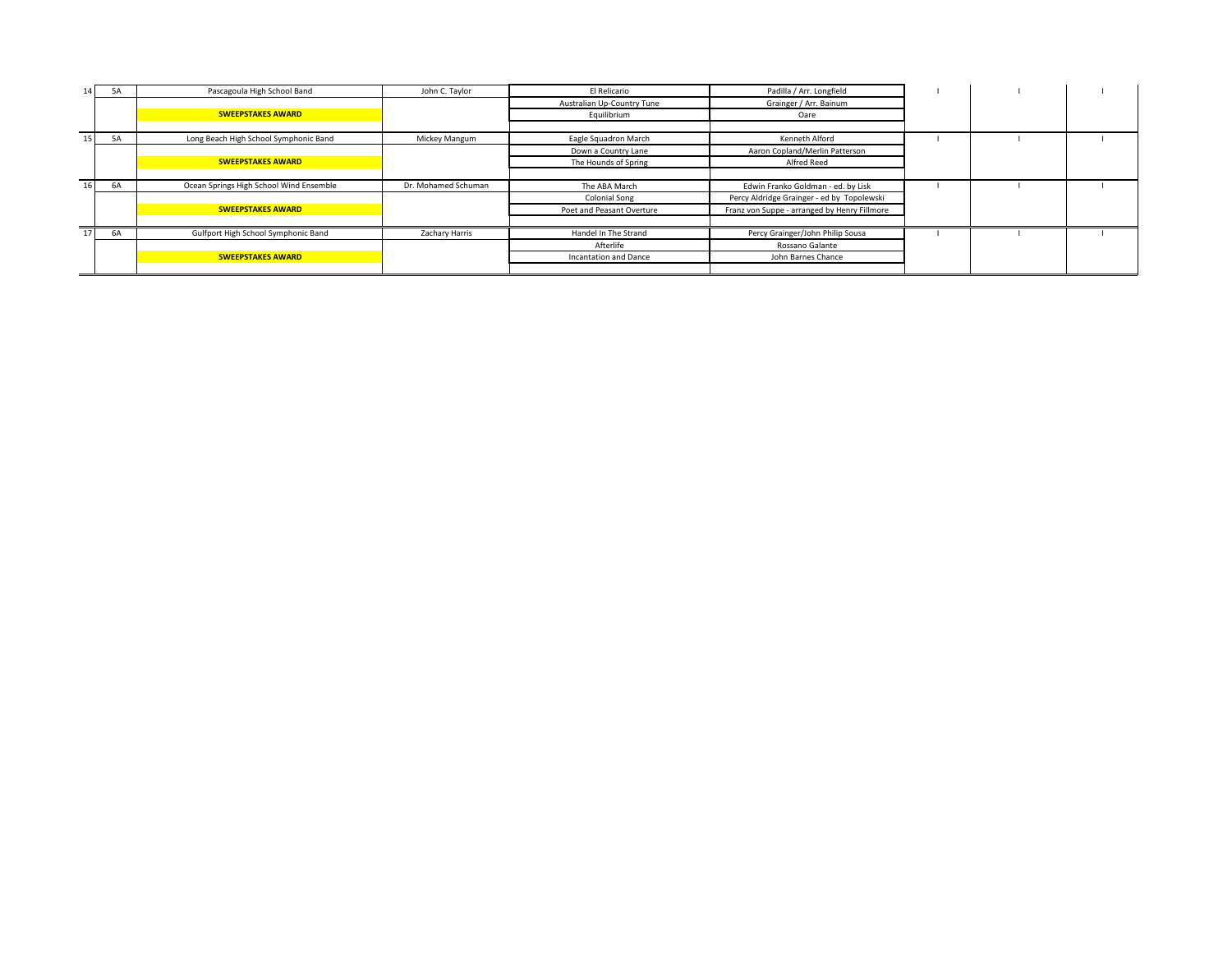| 14 <sup>1</sup> | <b>5A</b> | Pascagoula High School Band             | John C. Taylor      | El Relicario               | Padilla / Arr. Longfield                     |  |  |
|-----------------|-----------|-----------------------------------------|---------------------|----------------------------|----------------------------------------------|--|--|
|                 |           |                                         |                     | Australian Up-Country Tune | Grainger / Arr. Bainum                       |  |  |
|                 |           | <b>SWEEPSTAKES AWARD</b>                |                     | Equilibrium                | Oare                                         |  |  |
|                 |           |                                         |                     |                            |                                              |  |  |
| 15 <sup>1</sup> | <b>5A</b> | Long Beach High School Symphonic Band   | Mickey Mangum       | Eagle Squadron March       | Kenneth Alford                               |  |  |
|                 |           |                                         |                     | Down a Country Lane        | Aaron Copland/Merlin Patterson               |  |  |
|                 |           | <b>SWEEPSTAKES AWARD</b>                |                     | The Hounds of Spring       | Alfred Reed                                  |  |  |
|                 |           |                                         |                     |                            |                                              |  |  |
| 16 <sub>1</sub> | 6A        | Ocean Springs High School Wind Ensemble | Dr. Mohamed Schuman | The ABA March              | Edwin Franko Goldman - ed. by Lisk           |  |  |
|                 |           |                                         |                     | <b>Colonial Song</b>       | Percy Aldridge Grainger - ed by Topolewski   |  |  |
|                 |           | <b>SWEEPSTAKES AWARD</b>                |                     | Poet and Peasant Overture  | Franz von Suppe - arranged by Henry Fillmore |  |  |
|                 |           |                                         |                     |                            |                                              |  |  |
| 17              | 6A        | Gulfport High School Symphonic Band     | Zachary Harris      | Handel In The Strand       | Percy Grainger/John Philip Sousa             |  |  |
|                 |           |                                         |                     | Afterlife                  | Rossano Galante                              |  |  |
|                 |           | <b>SWEEPSTAKES AWARD</b>                |                     | Incantation and Dance      | John Barnes Chance                           |  |  |
|                 |           |                                         |                     |                            |                                              |  |  |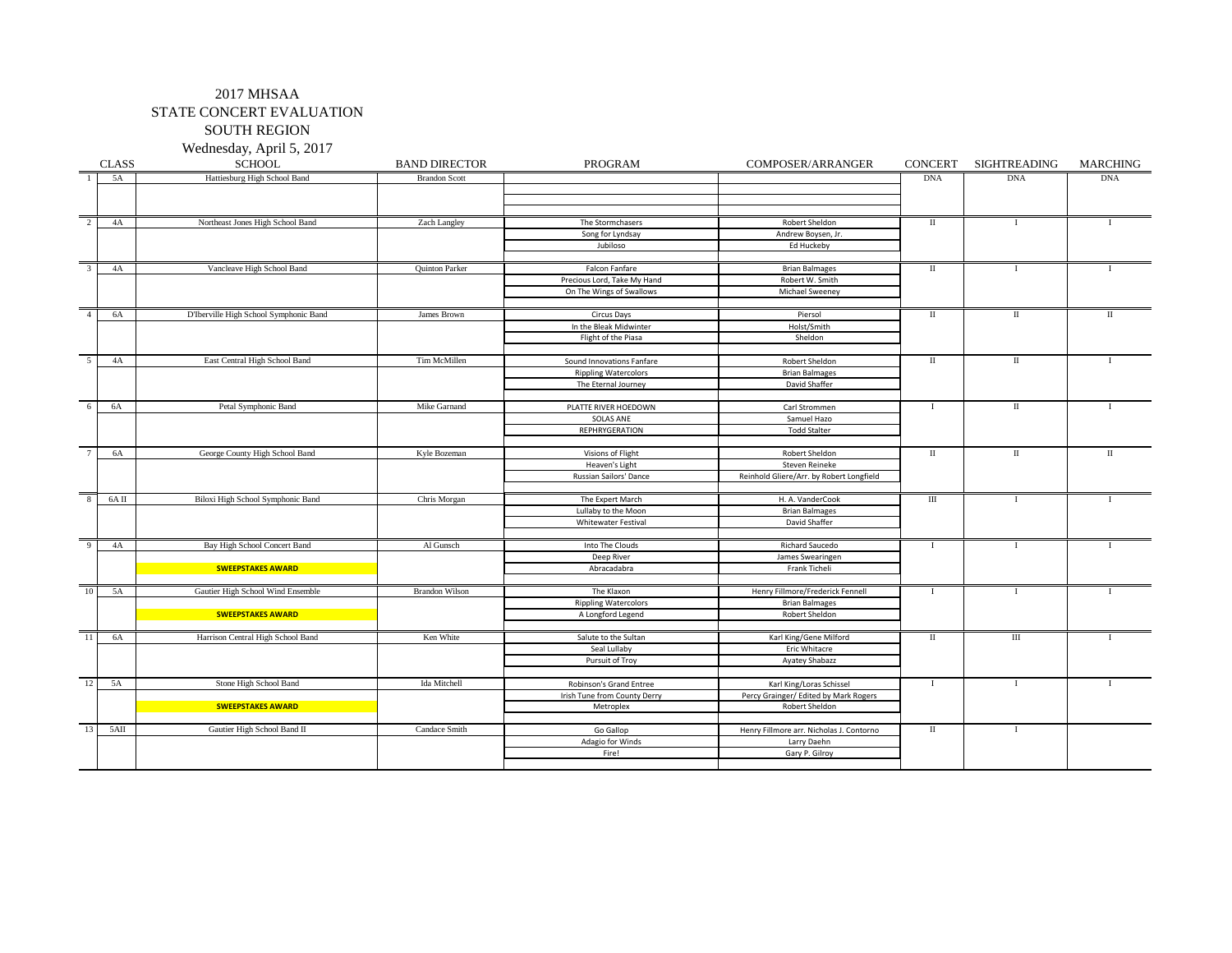SOUTH REGION

Wednesday, April 5, 2017

|                 | <b>CLASS</b> | <b>SCHOOL</b>                          | <b>BAND DIRECTOR</b>  | PROGRAM                      | COMPOSER/ARRANGER                        | <b>CONCERT</b> | SIGHTREADING | <b>MARCHING</b> |
|-----------------|--------------|----------------------------------------|-----------------------|------------------------------|------------------------------------------|----------------|--------------|-----------------|
|                 | 5A           | Hattiesburg High School Band           | <b>Brandon Scott</b>  |                              |                                          | <b>DNA</b>     | <b>DNA</b>   | <b>DNA</b>      |
|                 |              |                                        |                       |                              |                                          |                |              |                 |
|                 |              |                                        |                       |                              |                                          |                |              |                 |
|                 |              |                                        |                       |                              |                                          |                |              |                 |
| 2               | 4A           | Northeast Jones High School Band       | Zach Langley          | The Stormchasers             | Robert Sheldon                           | $\;$ II        | $\mathbf{I}$ |                 |
|                 |              |                                        |                       | Song for Lyndsay             | Andrew Boysen, Jr.                       |                |              |                 |
|                 |              |                                        |                       | Jubiloso                     | Ed Huckeby                               |                |              |                 |
| 3               |              |                                        |                       |                              |                                          |                |              |                 |
|                 | 4A           | Vancleave High School Band             | <b>Quinton Parker</b> | Falcon Fanfare               | <b>Brian Balmages</b>                    | $\;$ II        | -1           |                 |
|                 |              |                                        |                       | Precious Lord, Take My Hand  | Robert W. Smith                          |                |              |                 |
|                 |              |                                        |                       | On The Wings of Swallows     | Michael Sweeney                          |                |              |                 |
| $\overline{4}$  | 6A           | D'Iberville High School Symphonic Band | James Brown           | Circus Days                  | Piersol                                  | П              | $\mathbf{I}$ | П               |
|                 |              |                                        |                       | In the Bleak Midwinter       | Holst/Smith                              |                |              |                 |
|                 |              |                                        |                       | Flight of the Piasa          | Sheldon                                  |                |              |                 |
|                 |              |                                        |                       |                              |                                          |                |              |                 |
| 5               | 4A           | East Central High School Band          | Tim McMillen          | Sound Innovations Fanfare    | Robert Sheldon                           | $\;$ II        | П            |                 |
|                 |              |                                        |                       | <b>Rippling Watercolors</b>  | <b>Brian Balmages</b>                    |                |              |                 |
|                 |              |                                        |                       | The Eternal Journey          | David Shaffer                            |                |              |                 |
|                 |              |                                        |                       |                              |                                          |                |              |                 |
| -6              | 6A           | Petal Symphonic Band                   | Mike Garnand          | PLATTE RIVER HOEDOWN         | Carl Strommen                            | $\mathbf{I}$   | $\rm II$     |                 |
|                 |              |                                        |                       | SOLAS ANE                    | Samuel Hazo                              |                |              |                 |
|                 |              |                                        |                       | <b>REPHRYGERATION</b>        | <b>Todd Stalter</b>                      |                |              |                 |
|                 |              |                                        |                       |                              |                                          |                |              |                 |
| $7\phantom{.0}$ | 6A           | George County High School Band         | Kyle Bozeman          | Visions of Flight            | Robert Sheldon                           | П              | П            | П               |
|                 |              |                                        |                       | Heaven's Light               | Steven Reineke                           |                |              |                 |
|                 |              |                                        |                       | Russian Sailors' Dance       | Reinhold Gliere/Arr. by Robert Longfield |                |              |                 |
|                 |              |                                        |                       |                              |                                          |                |              |                 |
| 8               | 6AII         | Biloxi High School Symphonic Band      | Chris Morgan          | The Expert March             | H. A. VanderCook                         | Ш              | $\bf{I}$     |                 |
|                 |              |                                        |                       | Lullaby to the Moon          | <b>Brian Balmages</b>                    |                |              |                 |
|                 |              |                                        |                       | Whitewater Festival          | David Shaffer                            |                |              |                 |
|                 |              |                                        |                       |                              |                                          |                |              |                 |
| - q             | 4A           | Bay High School Concert Band           | Al Gunsch             | Into The Clouds              | <b>Richard Saucedo</b>                   | $\mathbf{I}$   | $\mathbf{I}$ |                 |
|                 |              |                                        |                       | Deep River                   | James Swearingen                         |                |              |                 |
|                 |              | <b>SWEEPSTAKES AWARD</b>               |                       | Abracadabra                  | Frank Ticheli                            |                |              |                 |
| 10              | 5A           | Gautier High School Wind Ensemble      | <b>Brandon Wilson</b> | The Klaxon                   | Henry Fillmore/Frederick Fennell         |                | $\mathbf{I}$ |                 |
|                 |              |                                        |                       | <b>Rippling Watercolors</b>  | <b>Brian Balmages</b>                    | $\bf{I}$       |              |                 |
|                 |              | <b>SWEEPSTAKES AWARD</b>               |                       | A Longford Legend            | Robert Sheldon                           |                |              |                 |
|                 |              |                                        |                       |                              |                                          |                |              |                 |
| -11             | 6A           | Harrison Central High School Band      | Ken White             | Salute to the Sultan         | Karl King/Gene Milford                   | П              | $\rm III$    |                 |
|                 |              |                                        |                       | Seal Lullaby                 | Eric Whitacre                            |                |              |                 |
|                 |              |                                        |                       | Pursuit of Troy              | Ayatey Shabazz                           |                |              |                 |
|                 |              |                                        |                       |                              |                                          |                |              |                 |
| 12              | 5A           | Stone High School Band                 | Ida Mitchell          | Robinson's Grand Entree      | Karl King/Loras Schissel                 | $\mathbf{I}$   | $\mathbf{I}$ |                 |
|                 |              |                                        |                       | Irish Tune from County Derry | Percy Grainger/ Edited by Mark Rogers    |                |              |                 |
|                 |              | <b>SWEEPSTAKES AWARD</b>               |                       | Metroplex                    | Robert Sheldon                           |                |              |                 |
|                 |              |                                        |                       |                              |                                          |                |              |                 |
| 13              | $5\text{Al}$ | Gautier High School Band II            | Candace Smith         | Go Gallop                    | Henry Fillmore arr. Nicholas J. Contorno | П              | $\bf{I}$     |                 |
|                 |              |                                        |                       | Adagio for Winds             | Larry Daehn                              |                |              |                 |
|                 |              |                                        |                       | Fire!                        | Gary P. Gilroy                           |                |              |                 |
|                 |              |                                        |                       |                              |                                          |                |              |                 |